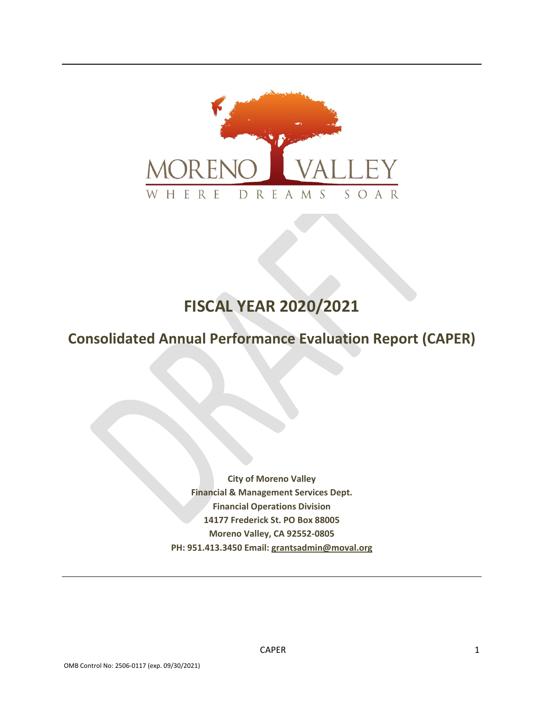

# **FISCAL YEAR 2020/2021**

# **Consolidated Annual Performance Evaluation Report (CAPER)**

**City of Moreno Valley Financial & Management Services Dept. Financial Operations Division 14177 Frederick St. PO Box 88005 Moreno Valley, CA 92552‐0805 PH: 951.413.3450 Email: grantsadmin@moval.org**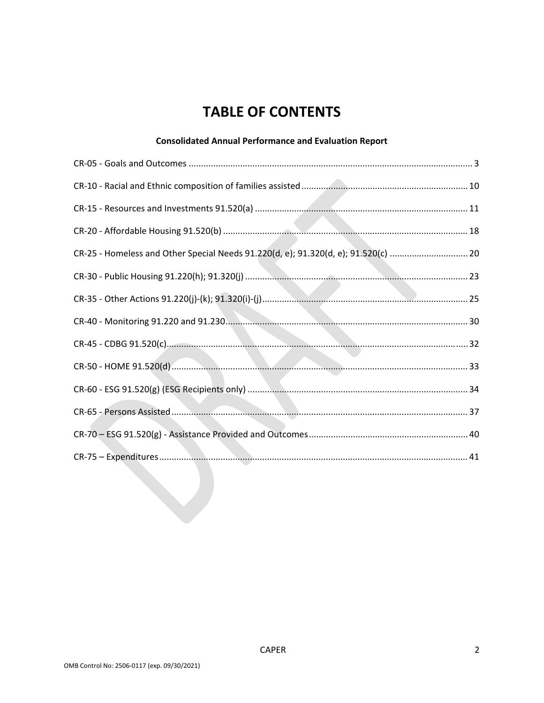# **TABLE OF CONTENTS**

### **Consolidated Annual Performance and Evaluation Report**

| CR-25 - Homeless and Other Special Needs 91.220(d, e); 91.320(d, e); 91.520(c)  20 |  |
|------------------------------------------------------------------------------------|--|
|                                                                                    |  |
|                                                                                    |  |
|                                                                                    |  |
|                                                                                    |  |
|                                                                                    |  |
|                                                                                    |  |
|                                                                                    |  |
|                                                                                    |  |
|                                                                                    |  |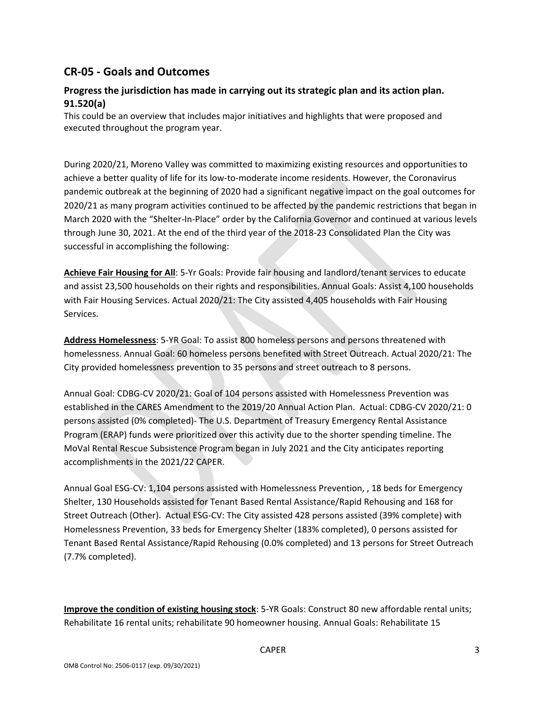### **CR‐05 ‐ Goals and Outcomes**

### **Progress the jurisdiction has made in carrying out its strategic plan and its action plan. 91.520(a)**

This could be an overview that includes major initiatives and highlights that were proposed and executed throughout the program year.

During 2020/21, Moreno Valley was committed to maximizing existing resources and opportunities to achieve a better quality of life for its low-to-moderate income residents. However, the Coronavirus pandemic outbreak at the beginning of 2020 had a significant negative impact on the goal outcomes for 2020/21 as many program activities continued to be affected by the pandemic restrictions that began in March 2020 with the "Shelter‐In‐Place" order by the California Governor and continued at various levels through June 30, 2021. At the end of the third year of the 2018‐23 Consolidated Plan the City was successful in accomplishing the following:

**Achieve Fair Housing for All**: 5‐Yr Goals: Provide fair housing and landlord/tenant services to educate and assist 23,500 households on their rights and responsibilities. Annual Goals: Assist 4,100 households with Fair Housing Services. Actual 2020/21: The City assisted 4,405 households with Fair Housing Services.

**Address Homelessness**: 5‐YR Goal: To assist 800 homeless persons and persons threatened with homelessness. Annual Goal: 60 homeless persons benefited with Street Outreach. Actual 2020/21: The City provided homelessness prevention to 35 persons and street outreach to 8 persons.

Annual Goal: CDBG‐CV 2020/21: Goal of 104 persons assisted with Homelessness Prevention was established in the CARES Amendment to the 2019/20 Annual Action Plan. Actual: CDBG‐CV 2020/21: 0 persons assisted (0% completed)‐ The U.S. Department of Treasury Emergency Rental Assistance Program (ERAP) funds were prioritized over this activity due to the shorter spending timeline. The MoVal Rental Rescue Subsistence Program began in July 2021 and the City anticipates reporting accomplishments in the 2021/22 CAPER.

Annual Goal ESG‐CV: 1,104 persons assisted with Homelessness Prevention, , 18 beds for Emergency Shelter, 130 Households assisted for Tenant Based Rental Assistance/Rapid Rehousing and 168 for Street Outreach (Other). Actual ESG‐CV: The City assisted 428 persons assisted (39% complete) with Homelessness Prevention, 33 beds for Emergency Shelter (183% completed), 0 persons assisted for Tenant Based Rental Assistance/Rapid Rehousing (0.0% completed) and 13 persons for Street Outreach (7.7% completed).

**Improve the condition of existing housing stock**: 5‐YR Goals: Construct 80 new affordable rental units; Rehabilitate 16 rental units; rehabilitate 90 homeowner housing. Annual Goals: Rehabilitate 15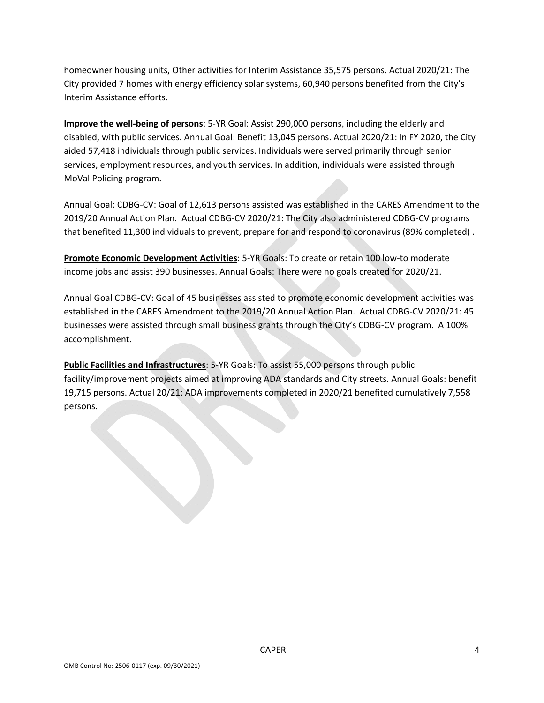homeowner housing units, Other activities for Interim Assistance 35,575 persons. Actual 2020/21: The City provided 7 homes with energy efficiency solar systems, 60,940 persons benefited from the City's Interim Assistance efforts.

**Improve the well‐being of persons**: 5‐YR Goal: Assist 290,000 persons, including the elderly and disabled, with public services. Annual Goal: Benefit 13,045 persons. Actual 2020/21: In FY 2020, the City aided 57,418 individuals through public services. Individuals were served primarily through senior services, employment resources, and youth services. In addition, individuals were assisted through MoVal Policing program.

Annual Goal: CDBG‐CV: Goal of 12,613 persons assisted was established in the CARES Amendment to the 2019/20 Annual Action Plan. Actual CDBG‐CV 2020/21: The City also administered CDBG‐CV programs that benefited 11,300 individuals to prevent, prepare for and respond to coronavirus (89% completed) .

**Promote Economic Development Activities**: 5‐YR Goals: To create or retain 100 low‐to moderate income jobs and assist 390 businesses. Annual Goals: There were no goals created for 2020/21.

Annual Goal CDBG‐CV: Goal of 45 businesses assisted to promote economic development activities was established in the CARES Amendment to the 2019/20 Annual Action Plan. Actual CDBG‐CV 2020/21: 45 businesses were assisted through small business grants through the City's CDBG‐CV program. A 100% accomplishment.

**Public Facilities and Infrastructures**: 5‐YR Goals: To assist 55,000 persons through public facility/improvement projects aimed at improving ADA standards and City streets. Annual Goals: benefit 19,715 persons. Actual 20/21: ADA improvements completed in 2020/21 benefited cumulatively 7,558 persons.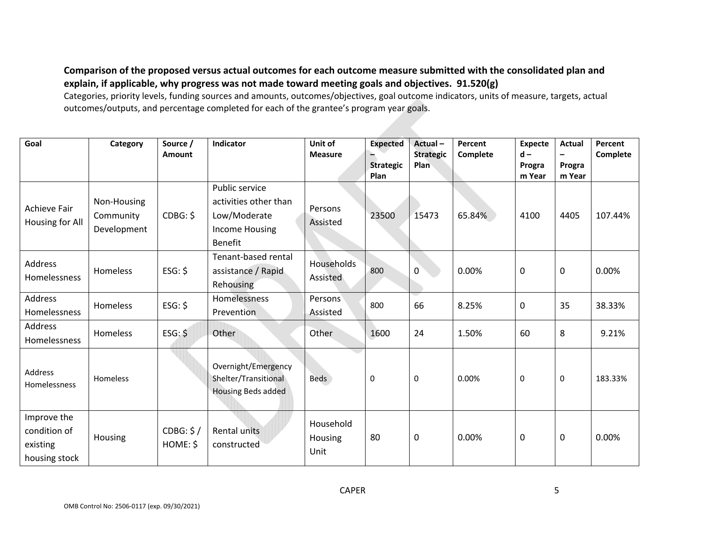Comparison of the proposed versus actual outcomes for each outcome measure submitted with the consolidated plan and **explain, if applicable, why progress was not made toward meeting goals and objectives. 91.520(g)**

Categories, priority levels, funding sources and amounts, outcomes/objectives, goal outcome indicators, units of measure, targets, actual outcomes/outputs, and percentage completed for each of the grantee's program year goals.

| Goal                                                     | Category                                | Source /<br><b>Amount</b> | Indicator                                                                                   | Unit of<br><b>Measure</b>    | <b>Expected</b><br><b>Strategic</b><br>Plan | Actual-<br><b>Strategic</b><br><b>Plan</b> | Percent<br>Complete | <b>Expecte</b><br>$d -$<br>Progra<br>m Year | <b>Actual</b><br>$\overline{a}$<br>Progra<br>m Year | Percent<br>Complete |
|----------------------------------------------------------|-----------------------------------------|---------------------------|---------------------------------------------------------------------------------------------|------------------------------|---------------------------------------------|--------------------------------------------|---------------------|---------------------------------------------|-----------------------------------------------------|---------------------|
| Achieve Fair<br>Housing for All                          | Non-Housing<br>Community<br>Development | CDBG: \$                  | Public service<br>activities other than<br>Low/Moderate<br>Income Housing<br><b>Benefit</b> | Persons<br>Assisted          | 23500                                       | 15473                                      | 65.84%              | 4100                                        | 4405                                                | 107.44%             |
| Address<br>Homelessness                                  | Homeless                                | ESG: \$                   | Tenant-based rental<br>assistance / Rapid<br>Rehousing                                      | Households<br>Assisted       | 800                                         | 0                                          | 0.00%               | 0                                           | $\boldsymbol{0}$                                    | 0.00%               |
| Address<br>Homelessness                                  | Homeless                                | ESG: \$                   | Homelessness<br>Prevention                                                                  | Persons<br>Assisted          | 800                                         | 66                                         | 8.25%               | 0                                           | 35                                                  | 38.33%              |
| Address<br>Homelessness                                  | Homeless                                | $ESG:$ \$                 | Other                                                                                       | Other                        | 1600                                        | 24                                         | 1.50%               | 60                                          | 8                                                   | 9.21%               |
| Address<br>Homelessness                                  | Homeless                                |                           | Overnight/Emergency<br>Shelter/Transitional<br>Housing Beds added                           | <b>Beds</b>                  | $\mathbf 0$                                 | 0                                          | 0.00%               | $\mathbf 0$                                 | $\mathbf 0$                                         | 183.33%             |
| Improve the<br>condition of<br>existing<br>housing stock | Housing                                 | CDBG: \$/<br>HOME: \$     | <b>Rental units</b><br>constructed                                                          | Household<br>Housing<br>Unit | 80                                          | 0                                          | 0.00%               | $\pmb{0}$                                   | $\boldsymbol{0}$                                    | 0.00%               |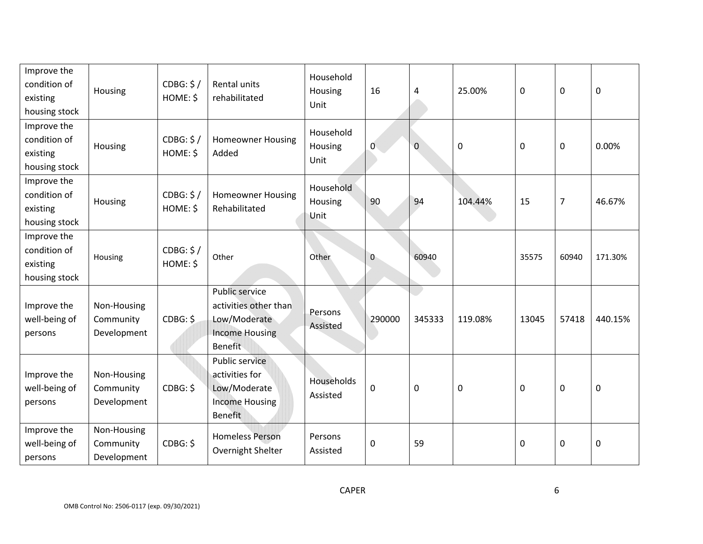| Improve the<br>condition of<br>existing<br>housing stock | Housing                                 | CDBG: \$/<br>HOME: \$ | Rental units<br>rehabilitated                                                               | Household<br>Housing<br>Unit | 16           | 4           | 25.00%    | 0        | $\mathbf 0$    | $\mathbf 0$ |
|----------------------------------------------------------|-----------------------------------------|-----------------------|---------------------------------------------------------------------------------------------|------------------------------|--------------|-------------|-----------|----------|----------------|-------------|
| Improve the<br>condition of<br>existing<br>housing stock | Housing                                 | CDBG: \$/<br>HOME: \$ | <b>Homeowner Housing</b><br>Added                                                           | Household<br>Housing<br>Unit | 0            | $\mathbf 0$ | $\pmb{0}$ | $\Omega$ | $\mathbf 0$    | 0.00%       |
| Improve the<br>condition of<br>existing<br>housing stock | Housing                                 | CDBG: \$/<br>HOME: \$ | <b>Homeowner Housing</b><br>Rehabilitated                                                   | Household<br>Housing<br>Unit | 90           | 94          | 104.44%   | 15       | $\overline{7}$ | 46.67%      |
| Improve the<br>condition of<br>existing<br>housing stock | Housing                                 | CDBG: \$/<br>HOME: \$ | Other                                                                                       | Other                        | $\mathbf{0}$ | 60940       |           | 35575    | 60940          | 171.30%     |
| Improve the<br>well-being of<br>persons                  | Non-Housing<br>Community<br>Development | CDBG: \$              | Public service<br>activities other than<br>Low/Moderate<br><b>Income Housing</b><br>Benefit | Persons<br>Assisted          | 290000       | 345333      | 119.08%   | 13045    | 57418          | 440.15%     |
| Improve the<br>well-being of<br>persons                  | Non-Housing<br>Community<br>Development | CDBG: \$              | Public service<br>activities for<br>Low/Moderate<br><b>Income Housing</b><br><b>Benefit</b> | Households<br>Assisted       | $\mathbf 0$  | $\mathbf 0$ | 0         | 0        | $\mathbf 0$    | $\pmb{0}$   |
| Improve the<br>well-being of<br>persons                  | Non-Housing<br>Community<br>Development | CDBG: \$              | <b>Homeless Person</b><br>Overnight Shelter                                                 | Persons<br>Assisted          | $\mathbf 0$  | 59          |           | 0        | $\mathbf 0$    | $\pmb{0}$   |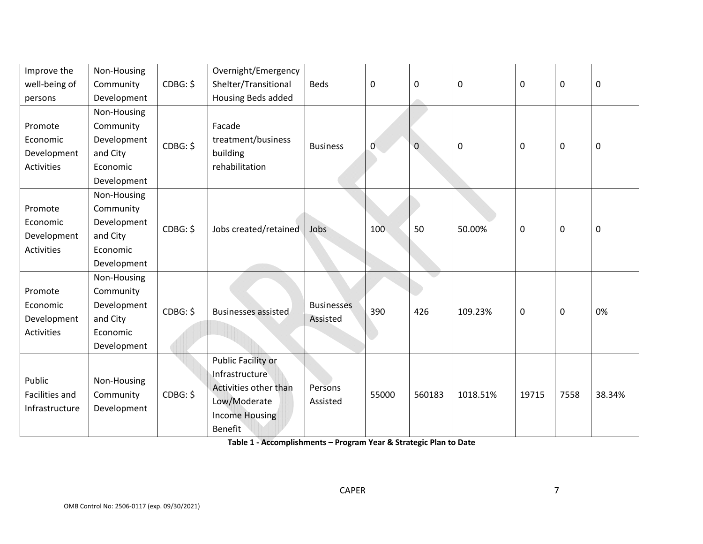| Improve the<br>well-being of<br>persons                 | Non-Housing<br>Community<br>Development                                        | CDBG: \$ | Overnight/Emergency<br>Shelter/Transitional<br>Housing Beds added                                                               | <b>Beds</b>                   | 0     | 0      | 0        | 0     | $\mathbf 0$ | $\mathbf 0$ |
|---------------------------------------------------------|--------------------------------------------------------------------------------|----------|---------------------------------------------------------------------------------------------------------------------------------|-------------------------------|-------|--------|----------|-------|-------------|-------------|
| Promote<br>Economic<br>Development<br><b>Activities</b> | Non-Housing<br>Community<br>Development<br>and City<br>Economic<br>Development | CDBG: \$ | Facade<br>treatment/business<br>building<br>rehabilitation                                                                      | <b>Business</b>               | 0     | 0      | 0        | 0     | $\mathbf 0$ | $\mathbf 0$ |
| Promote<br>Economic<br>Development<br>Activities        | Non-Housing<br>Community<br>Development<br>and City<br>Economic<br>Development | CDBG: \$ | Jobs created/retained                                                                                                           | Jobs                          | 100   | 50     | 50.00%   | 0     | $\mathbf 0$ | $\mathbf 0$ |
| Promote<br>Economic<br>Development<br><b>Activities</b> | Non-Housing<br>Community<br>Development<br>and City<br>Economic<br>Development | CDBG: \$ | <b>Businesses assisted</b>                                                                                                      | <b>Businesses</b><br>Assisted | 390   | 426    | 109.23%  | 0     | $\mathbf 0$ | 0%          |
| Public<br>Facilities and<br>Infrastructure              | Non-Housing<br>Community<br>Development                                        | CDBG: \$ | <b>Public Facility or</b><br>Infrastructure<br>Activities other than<br>Low/Moderate<br><b>Income Housing</b><br><b>Benefit</b> | Persons<br>Assisted           | 55000 | 560183 | 1018.51% | 19715 | 7558        | 38.34%      |

**Table 1 ‐ Accomplishments – Program Year & Strategic Plan to Date**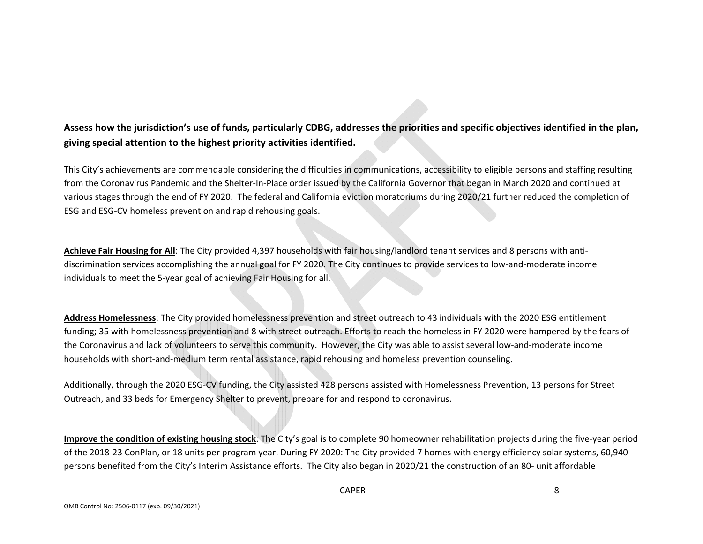### Assess how the jurisdiction's use of funds, particularly CDBG, addresses the priorities and specific objectives identified in the plan, **giving special attention to the highest priority activities identified.**

This City's achievements are commendable considering the difficulties in communications, accessibility to eligible persons and staffing resulting from the Coronavirus Pandemic and the Shelter‐In‐Place order issued by the California Governor that began in March 2020 and continued at various stages through the end of FY 2020. The federal and California eviction moratoriums during 2020/21 further reduced the completion of ESG and ESG‐CV homeless prevention and rapid rehousing goals.

**Achieve Fair Housing for All**: The City provided 4,397 households with fair housing/landlord tenant services and 8 persons with anti‐ discrimination services accomplishing the annual goal for FY 2020. The City continues to provide services to low‐and‐moderate income individuals to meet the 5‐year goal of achieving Fair Housing for all.

**Address Homelessness**: The City provided homelessness prevention and street outreach to 43 individuals with the 2020 ESG entitlement funding; 35 with homelessness prevention and 8 with street outreach. Efforts to reach the homeless in FY 2020 were hampered by the fears of the Coronavirus and lack of volunteers to serve this community. However, the City was able to assist several low‐and‐moderate income households with short‐and‐medium term rental assistance, rapid rehousing and homeless prevention counseling.

Additionally, through the 2020 ESG‐CV funding, the City assisted 428 persons assisted with Homelessness Prevention, 13 persons for Street Outreach, and 33 beds for Emergency Shelter to prevent, prepare for and respond to coronavirus.

**Improve the condition of existing housing stock**: The City's goal is to complete 90 homeowner rehabilitation projects during the five‐year period of the 2018‐23 ConPlan, or 18 units per program year. During FY 2020: The City provided 7 homes with energy efficiency solar systems, 60,940 persons benefited from the City's Interim Assistance efforts. The City also began in 2020/21 the construction of an 80‐ unit affordable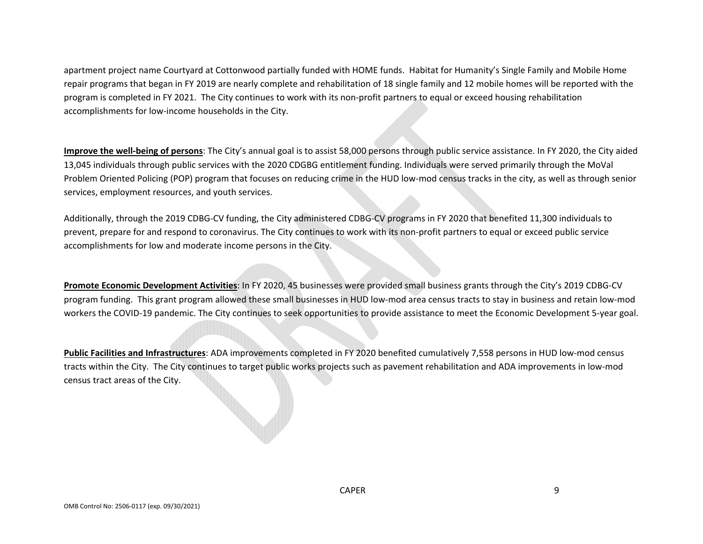apartment project name Courtyard at Cottonwood partially funded with HOME funds. Habitat for Humanity's Single Family and Mobile Home repair programs that began in FY 2019 are nearly complete and rehabilitation of 18 single family and 12 mobile homes will be reported with the program is completed in FY 2021. The City continues to work with its non‐profit partners to equal or exceed housing rehabilitation accomplishments for low‐income households in the City.

**Improve the well‐being of persons**: The City's annual goal is to assist 58,000 persons through public service assistance. In FY 2020, the City aided 13,045 individuals through public services with the 2020 CDGBG entitlement funding. Individuals were served primarily through the MoVal Problem Oriented Policing (POP) program that focuses on reducing crime in the HUD low‐mod census tracks in the city, as well as through senior services, employment resources, and youth services.

Additionally, through the 2019 CDBG‐CV funding, the City administered CDBG‐CV programs in FY 2020 that benefited 11,300 individuals to prevent, prepare for and respond to coronavirus. The City continues to work with its non-profit partners to equal or exceed public service accomplishments for low and moderate income persons in the City.

**Promote Economic Development Activities**: In FY 2020, 45 businesses were provided small business grants through the City's 2019 CDBG‐CV program funding. This grant program allowed these small businesses in HUD low‐mod area census tracts to stay in business and retain low‐mod workers the COVID‐19 pandemic. The City continues to seek opportunities to provide assistance to meet the Economic Development 5‐year goal.

**Public Facilities and Infrastructures**: ADA improvements completed in FY 2020 benefited cumulatively 7,558 persons in HUD low‐mod census tracts within the City. The City continues to target public works projects such as pavement rehabilitation and ADA improvements in low‐mod census tract areas of the City.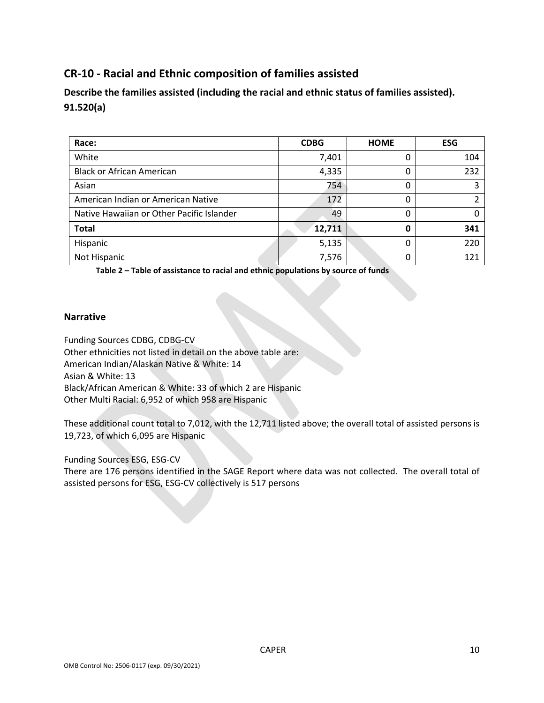## **CR‐10 ‐ Racial and Ethnic composition of families assisted**

**Describe the families assisted (including the racial and ethnic status of families assisted). 91.520(a)** 

| Race:                                     | <b>CDBG</b> | <b>HOME</b> | <b>ESG</b> |
|-------------------------------------------|-------------|-------------|------------|
| White                                     | 7,401       |             | 104        |
| <b>Black or African American</b>          | 4,335       | 0           | 232        |
| Asian                                     | 754         | 0           |            |
| American Indian or American Native        | 172         | 0           |            |
| Native Hawaiian or Other Pacific Islander | 49          | 0           |            |
| <b>Total</b>                              | 12,711      | Ω           | 341        |
| Hispanic                                  | 5,135       |             | 220        |
| Not Hispanic                              | 7,576       |             | 121        |

**Table 2 – Table of assistance to racial and ethnic populations by source of funds** 

#### **Narrative**

Funding Sources CDBG, CDBG‐CV Other ethnicities not listed in detail on the above table are: American Indian/Alaskan Native & White: 14 Asian & White: 13 Black/African American & White: 33 of which 2 are Hispanic Other Multi Racial: 6,952 of which 958 are Hispanic

These additional count total to 7,012, with the 12,711 listed above; the overall total of assisted persons is 19,723, of which 6,095 are Hispanic

Funding Sources ESG, ESG‐CV

There are 176 persons identified in the SAGE Report where data was not collected. The overall total of assisted persons for ESG, ESG‐CV collectively is 517 persons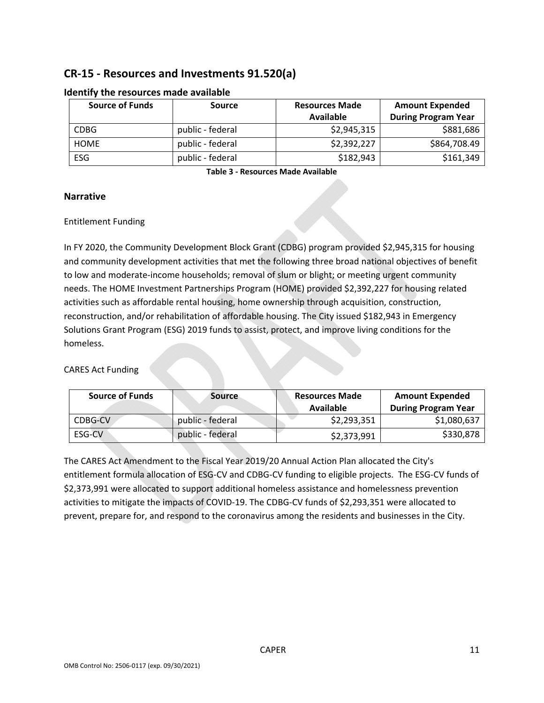## **CR‐15 ‐ Resources and Investments 91.520(a)**

| <b>Source of Funds</b> | Source           |             | <b>Amount Expended</b>     |  |  |
|------------------------|------------------|-------------|----------------------------|--|--|
|                        |                  | Available   | <b>During Program Year</b> |  |  |
| <b>CDBG</b>            | public - federal | \$2,945,315 | \$881,686                  |  |  |
| <b>HOME</b>            | public - federal | \$2,392,227 | \$864,708.49               |  |  |
| ESG                    | public - federal | \$182,943   | \$161,349                  |  |  |

#### **Identify the resources made available**

**Table 3 ‐ Resources Made Available**

#### **Narrative**

#### Entitlement Funding

In FY 2020, the Community Development Block Grant (CDBG) program provided \$2,945,315 for housing and community development activities that met the following three broad national objectives of benefit to low and moderate-income households; removal of slum or blight; or meeting urgent community needs. The HOME Investment Partnerships Program (HOME) provided \$2,392,227 for housing related activities such as affordable rental housing, home ownership through acquisition, construction, reconstruction, and/or rehabilitation of affordable housing. The City issued \$182,943 in Emergency Solutions Grant Program (ESG) 2019 funds to assist, protect, and improve living conditions for the homeless.

### CARES Act Funding

| <b>Source of Funds</b> | <b>Source</b>    | <b>Resources Made</b><br>Available | <b>Amount Expended</b><br><b>During Program Year</b> |
|------------------------|------------------|------------------------------------|------------------------------------------------------|
| CDBG-CV                | public - federal | \$2,293,351                        | \$1,080,637                                          |
| ESG-CV                 | public - federal | \$2,373,991                        | \$330,878                                            |

The CARES Act Amendment to the Fiscal Year 2019/20 Annual Action Plan allocated the City's entitlement formula allocation of ESG‐CV and CDBG‐CV funding to eligible projects. The ESG‐CV funds of \$2,373,991 were allocated to support additional homeless assistance and homelessness prevention activities to mitigate the impacts of COVID‐19. The CDBG‐CV funds of \$2,293,351 were allocated to prevent, prepare for, and respond to the coronavirus among the residents and businesses in the City.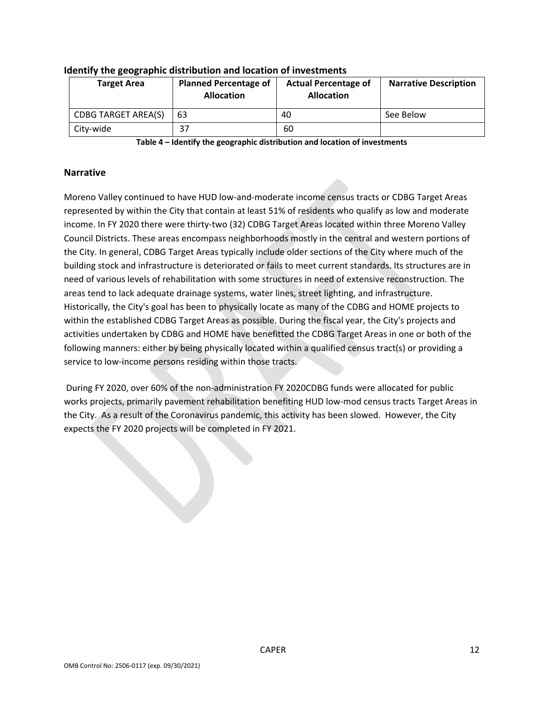| <b>Target Area</b>         | <b>Planned Percentage of</b><br><b>Allocation</b> | <b>Actual Percentage of</b><br><b>Allocation</b> | <b>Narrative Description</b> |
|----------------------------|---------------------------------------------------|--------------------------------------------------|------------------------------|
| <b>CDBG TARGET AREA(S)</b> | 63                                                | 40                                               | See Below                    |
| City-wide                  |                                                   | 60                                               |                              |

#### **Identify the geographic distribution and location of investments**

**Table 4 – Identify the geographic distribution and location of investments**

#### **Narrative**

Moreno Valley continued to have HUD low‐and‐moderate income census tracts or CDBG Target Areas represented by within the City that contain at least 51% of residents who qualify as low and moderate income. In FY 2020 there were thirty-two (32) CDBG Target Areas located within three Moreno Valley Council Districts. These areas encompass neighborhoods mostly in the central and western portions of the City. In general, CDBG Target Areas typically include older sections of the City where much of the building stock and infrastructure is deteriorated or fails to meet current standards. Its structures are in need of various levels of rehabilitation with some structures in need of extensive reconstruction. The areas tend to lack adequate drainage systems, water lines, street lighting, and infrastructure. Historically, the City's goal has been to physically locate as many of the CDBG and HOME projects to within the established CDBG Target Areas as possible. During the fiscal year, the City's projects and activities undertaken by CDBG and HOME have benefitted the CDBG Target Areas in one or both of the following manners: either by being physically located within a qualified census tract(s) or providing a service to low-income persons residing within those tracts.

During FY 2020, over 60% of the non‐administration FY 2020CDBG funds were allocated for public works projects, primarily pavement rehabilitation benefiting HUD low-mod census tracts Target Areas in the City. As a result of the Coronavirus pandemic, this activity has been slowed. However, the City expects the FY 2020 projects will be completed in FY 2021.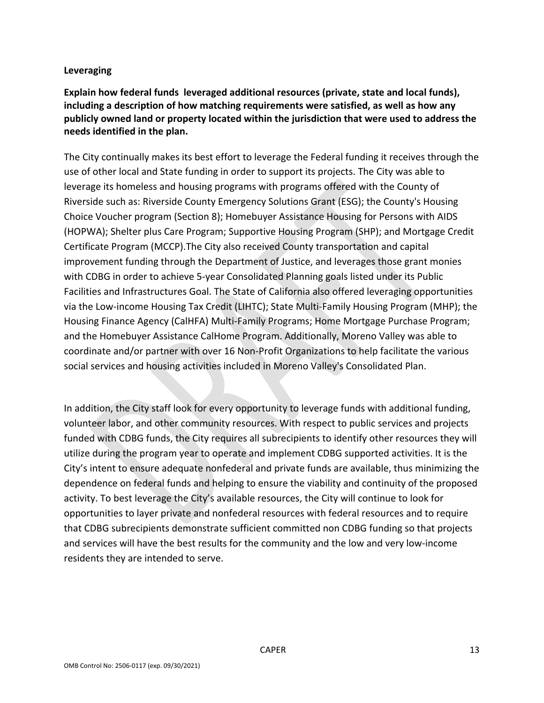### **Leveraging**

**Explain how federal funds leveraged additional resources (private, state and local funds), including a description of how matching requirements were satisfied, as well as how any publicly owned land or property located within the jurisdiction that were used to address the needs identified in the plan.**

The City continually makes its best effort to leverage the Federal funding it receives through the use of other local and State funding in order to support its projects. The City was able to leverage its homeless and housing programs with programs offered with the County of Riverside such as: Riverside County Emergency Solutions Grant (ESG); the County's Housing Choice Voucher program (Section 8); Homebuyer Assistance Housing for Persons with AIDS (HOPWA); Shelter plus Care Program; Supportive Housing Program (SHP); and Mortgage Credit Certificate Program (MCCP).The City also received County transportation and capital improvement funding through the Department of Justice, and leverages those grant monies with CDBG in order to achieve 5-year Consolidated Planning goals listed under its Public Facilities and Infrastructures Goal. The State of California also offered leveraging opportunities via the Low‐income Housing Tax Credit (LIHTC); State Multi‐Family Housing Program (MHP); the Housing Finance Agency (CalHFA) Multi‐Family Programs; Home Mortgage Purchase Program; and the Homebuyer Assistance CalHome Program. Additionally, Moreno Valley was able to coordinate and/or partner with over 16 Non‐Profit Organizations to help facilitate the various social services and housing activities included in Moreno Valley's Consolidated Plan.

In addition, the City staff look for every opportunity to leverage funds with additional funding, volunteer labor, and other community resources. With respect to public services and projects funded with CDBG funds, the City requires all subrecipients to identify other resources they will utilize during the program year to operate and implement CDBG supported activities. It is the City's intent to ensure adequate nonfederal and private funds are available, thus minimizing the dependence on federal funds and helping to ensure the viability and continuity of the proposed activity. To best leverage the City's available resources, the City will continue to look for opportunities to layer private and nonfederal resources with federal resources and to require that CDBG subrecipients demonstrate sufficient committed non CDBG funding so that projects and services will have the best results for the community and the low and very low‐income residents they are intended to serve.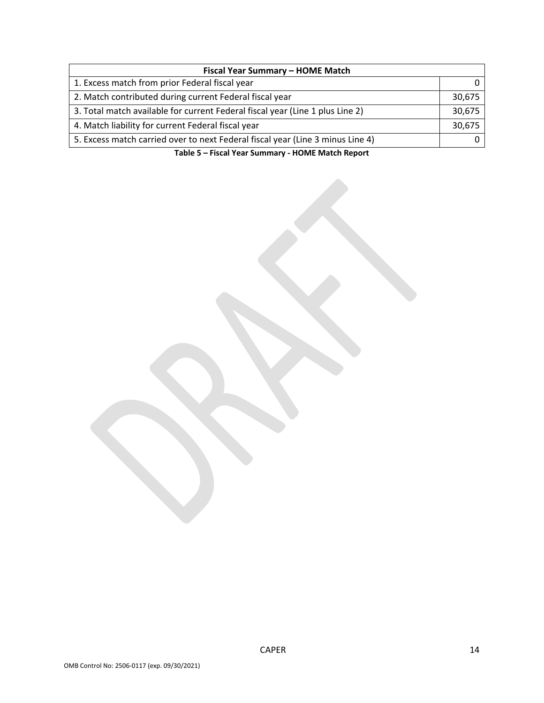| Fiscal Year Summary - HOME Match                                               |        |  |  |  |  |
|--------------------------------------------------------------------------------|--------|--|--|--|--|
| 1. Excess match from prior Federal fiscal year                                 |        |  |  |  |  |
| 2. Match contributed during current Federal fiscal year                        | 30,675 |  |  |  |  |
| 3. Total match available for current Federal fiscal year (Line 1 plus Line 2)  | 30,675 |  |  |  |  |
| 4. Match liability for current Federal fiscal year                             | 30,675 |  |  |  |  |
| 5. Excess match carried over to next Federal fiscal year (Line 3 minus Line 4) |        |  |  |  |  |

**Table 5 – Fiscal Year Summary ‐ HOME Match Report**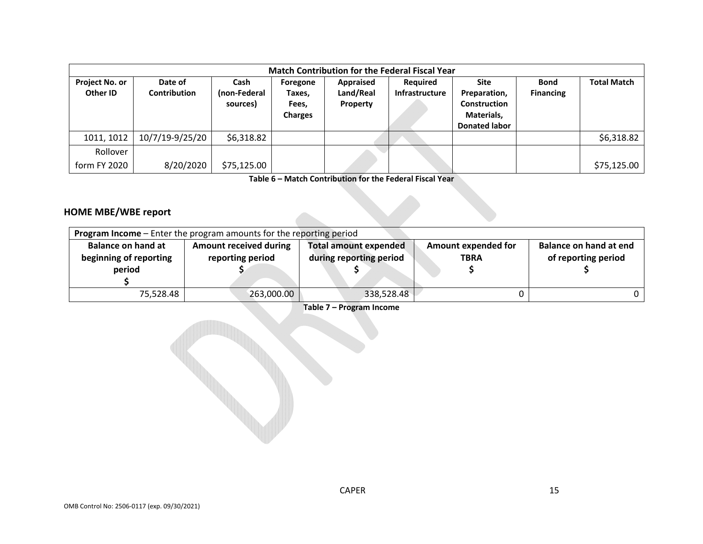|                                   | <b>Match Contribution for the Federal Fiscal Year</b> |                                  |                                               |                                    |                                          |                                                                                   |                                 |                    |  |  |  |
|-----------------------------------|-------------------------------------------------------|----------------------------------|-----------------------------------------------|------------------------------------|------------------------------------------|-----------------------------------------------------------------------------------|---------------------------------|--------------------|--|--|--|
| <b>Project No. or</b><br>Other ID | Date of<br><b>Contribution</b>                        | Cash<br>(non-Federal<br>sources) | Foregone<br>Taxes,<br>Fees,<br><b>Charges</b> | Appraised<br>Land/Real<br>Property | <b>Required</b><br><b>Infrastructure</b> | Site<br>Preparation,<br><b>Construction</b><br>Materials,<br><b>Donated labor</b> | <b>Bond</b><br><b>Financing</b> | <b>Total Match</b> |  |  |  |
| 1011, 1012                        | 10/7/19-9/25/20                                       | \$6,318.82                       |                                               |                                    |                                          |                                                                                   |                                 | \$6,318.82         |  |  |  |
| Rollover<br>form FY 2020          | 8/20/2020                                             | \$75,125.00                      |                                               |                                    |                                          |                                                                                   |                                 | \$75,125.00        |  |  |  |

**Table 6 – Match Contribution for the Federal Fiscal Year**

#### **HOME MBE/WBE report**

| Program Income - Enter the program amounts for the reporting period |                                                   |                                                         |                                           |                                               |  |  |  |  |
|---------------------------------------------------------------------|---------------------------------------------------|---------------------------------------------------------|-------------------------------------------|-----------------------------------------------|--|--|--|--|
| <b>Balance on hand at</b><br>beginning of reporting<br>period       | <b>Amount received during</b><br>reporting period | <b>Total amount expended</b><br>during reporting period | <b>Amount expended for</b><br><b>TBRA</b> | Balance on hand at end<br>of reporting period |  |  |  |  |
| 75,528.48                                                           | 263,000.00                                        | 338,528.48                                              |                                           |                                               |  |  |  |  |

**Table 7 – Program Income**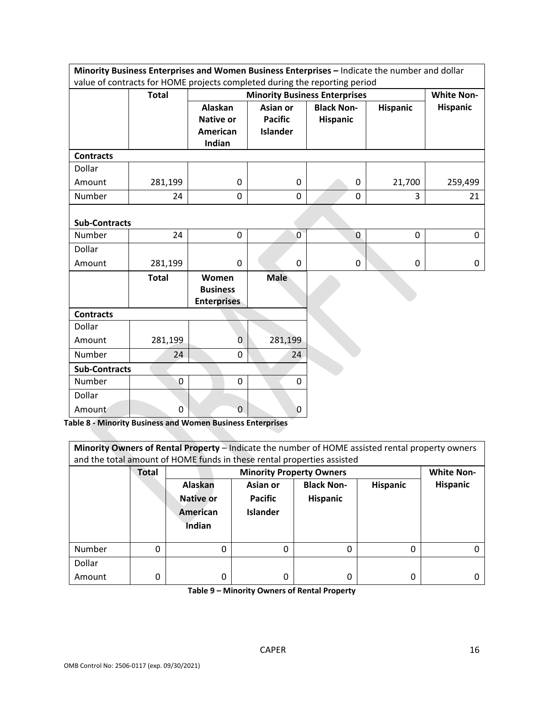| Minority Business Enterprises and Women Business Enterprises - Indicate the number and dollar<br>value of contracts for HOME projects completed during the reporting period |              |                                                |                 |                                      |                 |                   |  |  |
|-----------------------------------------------------------------------------------------------------------------------------------------------------------------------------|--------------|------------------------------------------------|-----------------|--------------------------------------|-----------------|-------------------|--|--|
|                                                                                                                                                                             |              |                                                |                 |                                      |                 |                   |  |  |
|                                                                                                                                                                             | <b>Total</b> |                                                |                 | <b>Minority Business Enterprises</b> |                 | <b>White Non-</b> |  |  |
|                                                                                                                                                                             |              | Alaskan                                        | Asian or        | <b>Black Non-</b>                    | <b>Hispanic</b> | <b>Hispanic</b>   |  |  |
|                                                                                                                                                                             |              | <b>Native or</b>                               | <b>Pacific</b>  | <b>Hispanic</b>                      |                 |                   |  |  |
|                                                                                                                                                                             |              | American                                       | <b>Islander</b> |                                      |                 |                   |  |  |
|                                                                                                                                                                             |              | Indian                                         |                 |                                      |                 |                   |  |  |
| <b>Contracts</b>                                                                                                                                                            |              |                                                |                 |                                      |                 |                   |  |  |
| Dollar                                                                                                                                                                      |              |                                                |                 |                                      |                 |                   |  |  |
| Amount                                                                                                                                                                      | 281,199      | 0                                              | $\mathbf 0$     | 0                                    | 21,700          | 259,499           |  |  |
| Number                                                                                                                                                                      | 24           | 0                                              | 0               | 0                                    | 3               | 21                |  |  |
| <b>Sub-Contracts</b>                                                                                                                                                        |              |                                                |                 |                                      |                 |                   |  |  |
| Number                                                                                                                                                                      | 24           | $\boldsymbol{0}$                               | $\overline{0}$  | $\mathbf 0$                          | 0               | 0                 |  |  |
| Dollar                                                                                                                                                                      |              |                                                |                 |                                      |                 |                   |  |  |
| Amount                                                                                                                                                                      | 281,199      | $\mathbf 0$                                    | $\mathbf 0$     | 0                                    | 0               | 0                 |  |  |
|                                                                                                                                                                             | <b>Total</b> | Women<br><b>Business</b><br><b>Enterprises</b> | <b>Male</b>     |                                      |                 |                   |  |  |
| <b>Contracts</b>                                                                                                                                                            |              |                                                |                 |                                      |                 |                   |  |  |
| Dollar                                                                                                                                                                      |              |                                                |                 |                                      |                 |                   |  |  |
| Amount                                                                                                                                                                      | 281,199      | 0                                              | 281,199         |                                      |                 |                   |  |  |
| Number                                                                                                                                                                      | 24           | 0                                              | 24              |                                      |                 |                   |  |  |
| <b>Sub-Contracts</b>                                                                                                                                                        |              |                                                |                 |                                      |                 |                   |  |  |
| Number                                                                                                                                                                      | $\mathbf 0$  | $\mathbf 0$                                    | 0               |                                      |                 |                   |  |  |
| Dollar                                                                                                                                                                      |              |                                                |                 |                                      |                 |                   |  |  |
| Amount                                                                                                                                                                      | 0            | $\mathbf{0}$                                   | $\mathbf{0}$    |                                      |                 |                   |  |  |

**Table 8 ‐ Minority Business and Women Business Enterprises**

| Minority Owners of Rental Property - Indicate the number of HOME assisted rental property owners<br>and the total amount of HOME funds in these rental properties assisted |              |                                                      |                 |                   |                 |                 |
|----------------------------------------------------------------------------------------------------------------------------------------------------------------------------|--------------|------------------------------------------------------|-----------------|-------------------|-----------------|-----------------|
|                                                                                                                                                                            | <b>Total</b> | <b>Minority Property Owners</b><br><b>White Non-</b> |                 |                   |                 |                 |
|                                                                                                                                                                            |              | Alaskan                                              | Asian or        | <b>Black Non-</b> | <b>Hispanic</b> | <b>Hispanic</b> |
|                                                                                                                                                                            |              | Native or                                            | <b>Pacific</b>  | <b>Hispanic</b>   |                 |                 |
|                                                                                                                                                                            |              | American                                             | <b>Islander</b> |                   |                 |                 |
|                                                                                                                                                                            |              | <b>Indian</b>                                        |                 |                   |                 |                 |
|                                                                                                                                                                            |              |                                                      |                 |                   |                 |                 |
| Number                                                                                                                                                                     | 0            | 0                                                    | 0               | 0                 | 0               |                 |
| Dollar                                                                                                                                                                     |              |                                                      |                 |                   |                 |                 |
| Amount                                                                                                                                                                     | 0            | 0                                                    | Ω               | 0                 | 0               |                 |

**Table 9 – Minority Owners of Rental Property**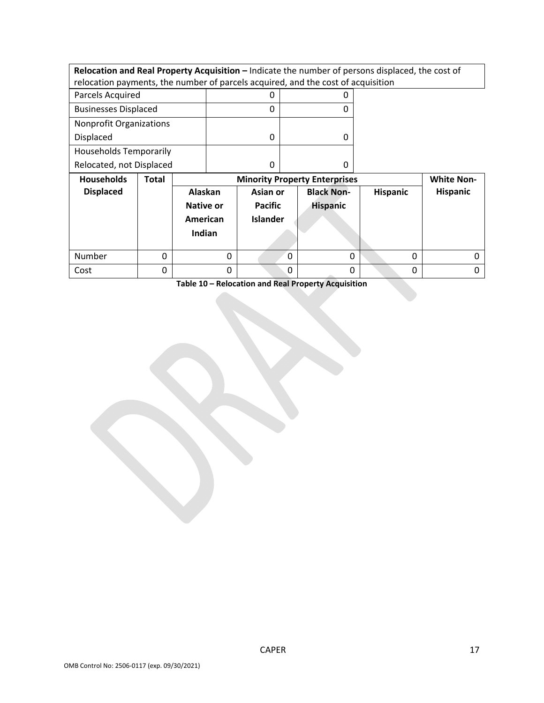**Relocation and Real Property Acquisition –** Indicate the number of persons displaced, the cost of relocation payments, the number of parcels acquired, and the cost of acquisition

| Parcels Acquired               |  |
|--------------------------------|--|
| <b>Businesses Displaced</b>    |  |
| <b>Nonprofit Organizations</b> |  |
| <b>Displaced</b>               |  |
| <b>Households Temporarily</b>  |  |
| Relocated, not Displaced       |  |

| <b>Households</b> | Total | <b>Minority Property Enterprises</b>              | <b>White Non-</b>                             |                                      |                 |          |
|-------------------|-------|---------------------------------------------------|-----------------------------------------------|--------------------------------------|-----------------|----------|
| <b>Displaced</b>  |       | Alaskan<br><b>Native or</b><br>American<br>Indian | Asian or<br><b>Pacific</b><br><b>Islander</b> | <b>Black Non-</b><br><b>Hispanic</b> | <b>Hispanic</b> | Hispanic |
| Number            |       |                                                   | 0                                             |                                      | 0               | 0        |
| Cost              |       | 0                                                 | 0                                             |                                      | 0               |          |

**Table 10 – Relocation and Real Property Acquisition**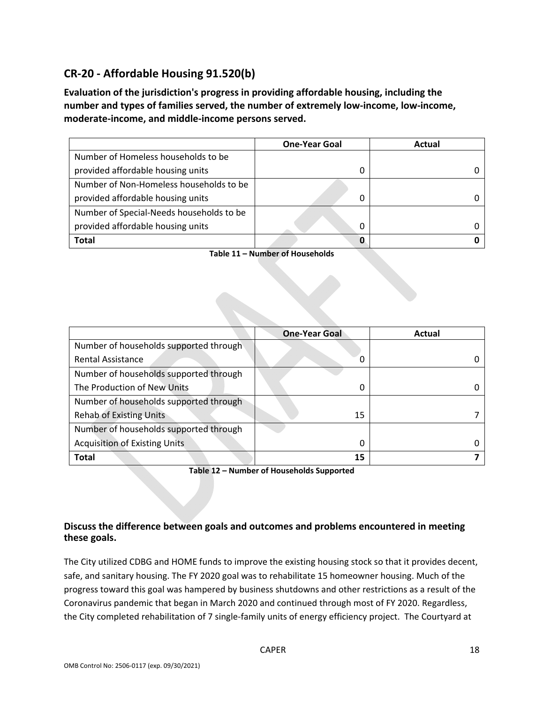## **CR‐20 ‐ Affordable Housing 91.520(b)**

**Evaluation of the jurisdiction's progress in providing affordable housing, including the number and types of families served, the number of extremely low‐income, low‐income, moderate‐income, and middle‐income persons served.**

|                                          | <b>One-Year Goal</b> | Actual |
|------------------------------------------|----------------------|--------|
| Number of Homeless households to be      |                      |        |
| provided affordable housing units        | 0                    |        |
| Number of Non-Homeless households to be  |                      |        |
| provided affordable housing units        | 0                    |        |
| Number of Special-Needs households to be |                      |        |
| provided affordable housing units        | 0                    |        |
| <b>Total</b>                             | O                    |        |

**Table 11 – Number of Households**

|                                        | <b>One-Year Goal</b> | Actual |
|----------------------------------------|----------------------|--------|
| Number of households supported through |                      |        |
| <b>Rental Assistance</b>               | 0                    |        |
| Number of households supported through |                      |        |
| The Production of New Units            | 0                    |        |
| Number of households supported through |                      |        |
| <b>Rehab of Existing Units</b>         | 15                   |        |
| Number of households supported through |                      |        |
| <b>Acquisition of Existing Units</b>   | 0                    |        |
| <b>Total</b>                           | 15                   |        |

**Table 12 – Number of Households Supported**

### **Discuss the difference between goals and outcomes and problems encountered in meeting these goals.**

The City utilized CDBG and HOME funds to improve the existing housing stock so that it provides decent, safe, and sanitary housing. The FY 2020 goal was to rehabilitate 15 homeowner housing. Much of the progress toward this goal was hampered by business shutdowns and other restrictions as a result of the Coronavirus pandemic that began in March 2020 and continued through most of FY 2020. Regardless, the City completed rehabilitation of 7 single-family units of energy efficiency project. The Courtyard at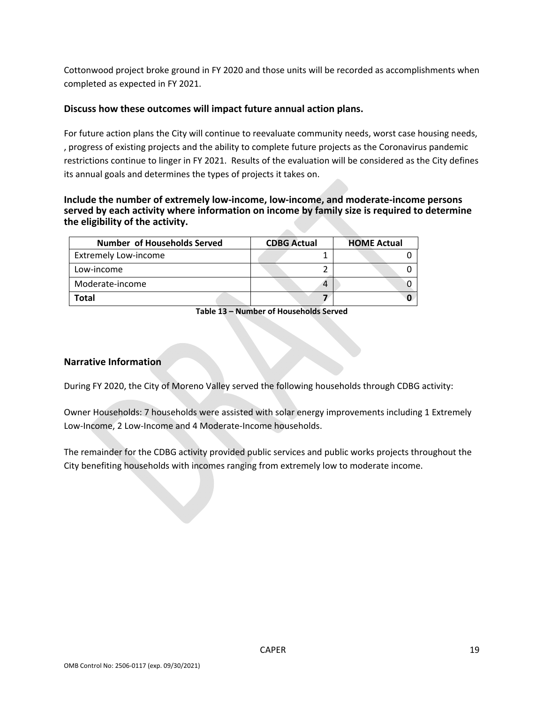Cottonwood project broke ground in FY 2020 and those units will be recorded as accomplishments when completed as expected in FY 2021.

#### **Discuss how these outcomes will impact future annual action plans.**

For future action plans the City will continue to reevaluate community needs, worst case housing needs, , progress of existing projects and the ability to complete future projects as the Coronavirus pandemic restrictions continue to linger in FY 2021. Results of the evaluation will be considered as the City defines its annual goals and determines the types of projects it takes on.

#### **Include the number of extremely low‐income, low‐income, and moderate‐income persons served by each activity where information on income by family size is required to determine the eligibility of the activity.**

dia.

| <b>Number of Households Served</b> | <b>CDBG Actual</b> | <b>HOME Actual</b> |
|------------------------------------|--------------------|--------------------|
| <b>Extremely Low-income</b>        |                    |                    |
| Low-income                         |                    |                    |
| Moderate-income                    |                    |                    |
| Total                              |                    |                    |

**Table 13 – Number of Households Served**

#### **Narrative Information**

During FY 2020, the City of Moreno Valley served the following households through CDBG activity:

Owner Households: 7 households were assisted with solar energy improvements including 1 Extremely Low‐Income, 2 Low‐Income and 4 Moderate‐Income households.

The remainder for the CDBG activity provided public services and public works projects throughout the City benefiting households with incomes ranging from extremely low to moderate income.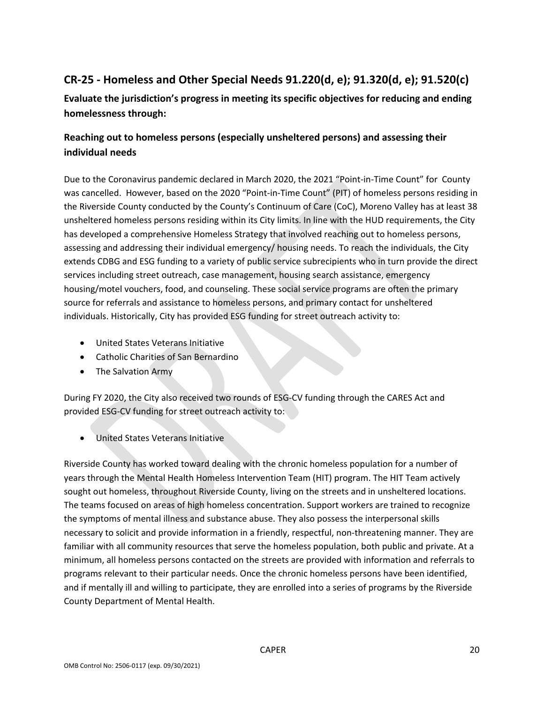# **CR‐25 ‐ Homeless and Other Special Needs 91.220(d, e); 91.320(d, e); 91.520(c)**

**Evaluate the jurisdiction's progress in meeting its specific objectives for reducing and ending homelessness through:**

### **Reaching out to homeless persons (especially unsheltered persons) and assessing their individual needs**

Due to the Coronavirus pandemic declared in March 2020, the 2021 "Point-in-Time Count" for County was cancelled. However, based on the 2020 "Point-in-Time Count" (PIT) of homeless persons residing in the Riverside County conducted by the County's Continuum of Care (CoC), Moreno Valley has at least 38 unsheltered homeless persons residing within its City limits. In line with the HUD requirements, the City has developed a comprehensive Homeless Strategy that involved reaching out to homeless persons, assessing and addressing their individual emergency/ housing needs. To reach the individuals, the City extends CDBG and ESG funding to a variety of public service subrecipients who in turn provide the direct services including street outreach, case management, housing search assistance, emergency housing/motel vouchers, food, and counseling. These social service programs are often the primary source for referrals and assistance to homeless persons, and primary contact for unsheltered individuals. Historically, City has provided ESG funding for street outreach activity to:

- United States Veterans Initiative
- Catholic Charities of San Bernardino
- The Salvation Army

During FY 2020, the City also received two rounds of ESG‐CV funding through the CARES Act and provided ESG‐CV funding for street outreach activity to:

United States Veterans Initiative

Riverside County has worked toward dealing with the chronic homeless population for a number of years through the Mental Health Homeless Intervention Team (HIT) program. The HIT Team actively sought out homeless, throughout Riverside County, living on the streets and in unsheltered locations. The teams focused on areas of high homeless concentration. Support workers are trained to recognize the symptoms of mental illness and substance abuse. They also possess the interpersonal skills necessary to solicit and provide information in a friendly, respectful, non-threatening manner. They are familiar with all community resources that serve the homeless population, both public and private. At a minimum, all homeless persons contacted on the streets are provided with information and referrals to programs relevant to their particular needs. Once the chronic homeless persons have been identified, and if mentally ill and willing to participate, they are enrolled into a series of programs by the Riverside County Department of Mental Health.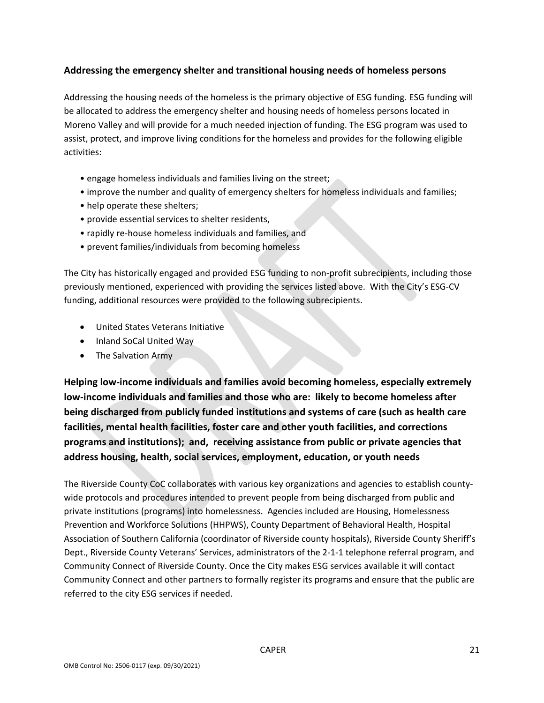### **Addressing the emergency shelter and transitional housing needs of homeless persons**

Addressing the housing needs of the homeless is the primary objective of ESG funding. ESG funding will be allocated to address the emergency shelter and housing needs of homeless persons located in Moreno Valley and will provide for a much needed injection of funding. The ESG program was used to assist, protect, and improve living conditions for the homeless and provides for the following eligible activities:

- engage homeless individuals and families living on the street;
- improve the number and quality of emergency shelters for homeless individuals and families;
- help operate these shelters;
- provide essential services to shelter residents,
- rapidly re‐house homeless individuals and families, and
- prevent families/individuals from becoming homeless

The City has historically engaged and provided ESG funding to non-profit subrecipients, including those previously mentioned, experienced with providing the services listed above. With the City's ESG‐CV funding, additional resources were provided to the following subrecipients.

- United States Veterans Initiative
- Inland SoCal United Way
- The Salvation Army

**Helping low‐income individuals and families avoid becoming homeless, especially extremely low‐income individuals and families and those who are: likely to become homeless after being discharged from publicly funded institutions and systems of care (such as health care facilities, mental health facilities, foster care and other youth facilities, and corrections programs and institutions); and, receiving assistance from public or private agencies that address housing, health, social services, employment, education, or youth needs**

The Riverside County CoC collaborates with various key organizations and agencies to establish county‐ wide protocols and procedures intended to prevent people from being discharged from public and private institutions (programs) into homelessness. Agencies included are Housing, Homelessness Prevention and Workforce Solutions (HHPWS), County Department of Behavioral Health, Hospital Association of Southern California (coordinator of Riverside county hospitals), Riverside County Sheriff's Dept., Riverside County Veterans' Services, administrators of the 2-1-1 telephone referral program, and Community Connect of Riverside County. Once the City makes ESG services available it will contact Community Connect and other partners to formally register its programs and ensure that the public are referred to the city ESG services if needed.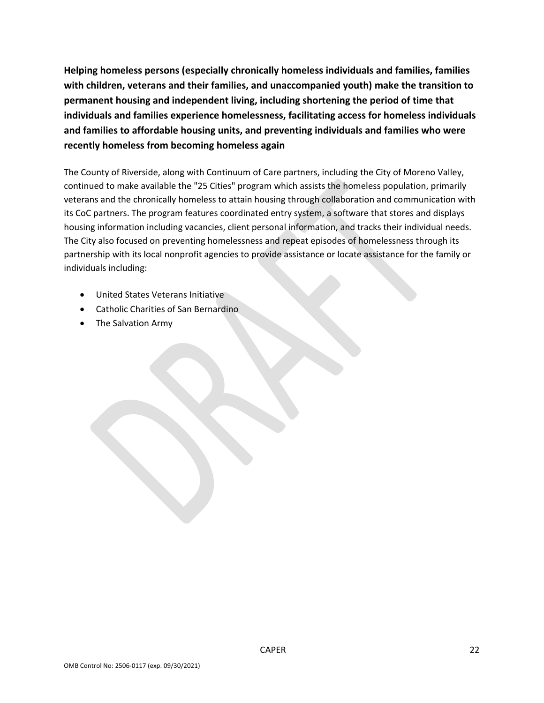**Helping homeless persons (especially chronically homeless individuals and families, families with children, veterans and their families, and unaccompanied youth) make the transition to permanent housing and independent living, including shortening the period of time that individuals and families experience homelessness, facilitating access for homeless individuals and families to affordable housing units, and preventing individuals and families who were recently homeless from becoming homeless again**

The County of Riverside, along with Continuum of Care partners, including the City of Moreno Valley, continued to make available the "25 Cities" program which assists the homeless population, primarily veterans and the chronically homeless to attain housing through collaboration and communication with its CoC partners. The program features coordinated entry system, a software that stores and displays housing information including vacancies, client personal information, and tracks their individual needs. The City also focused on preventing homelessness and repeat episodes of homelessness through its partnership with its local nonprofit agencies to provide assistance or locate assistance for the family or individuals including:

- United States Veterans Initiative
- Catholic Charities of San Bernardino
- The Salvation Army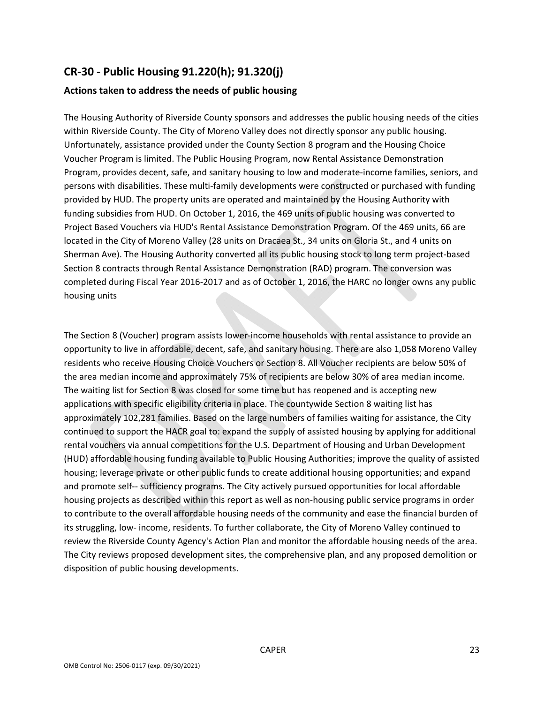# **CR‐30 ‐ Public Housing 91.220(h); 91.320(j)**

### **Actions taken to address the needs of public housing**

The Housing Authority of Riverside County sponsors and addresses the public housing needs of the cities within Riverside County. The City of Moreno Valley does not directly sponsor any public housing. Unfortunately, assistance provided under the County Section 8 program and the Housing Choice Voucher Program is limited. The Public Housing Program, now Rental Assistance Demonstration Program, provides decent, safe, and sanitary housing to low and moderate‐income families, seniors, and persons with disabilities. These multi‐family developments were constructed or purchased with funding provided by HUD. The property units are operated and maintained by the Housing Authority with funding subsidies from HUD. On October 1, 2016, the 469 units of public housing was converted to Project Based Vouchers via HUD's Rental Assistance Demonstration Program. Of the 469 units, 66 are located in the City of Moreno Valley (28 units on Dracaea St., 34 units on Gloria St., and 4 units on Sherman Ave). The Housing Authority converted all its public housing stock to long term project-based Section 8 contracts through Rental Assistance Demonstration (RAD) program. The conversion was completed during Fiscal Year 2016‐2017 and as of October 1, 2016, the HARC no longer owns any public housing units

The Section 8 (Voucher) program assists lower‐income households with rental assistance to provide an opportunity to live in affordable, decent, safe, and sanitary housing. There are also 1,058 Moreno Valley residents who receive Housing Choice Vouchers or Section 8. All Voucher recipients are below 50% of the area median income and approximately 75% of recipients are below 30% of area median income. The waiting list for Section 8 was closed for some time but has reopened and is accepting new applications with specific eligibility criteria in place. The countywide Section 8 waiting list has approximately 102,281 families. Based on the large numbers of families waiting for assistance, the City continued to support the HACR goal to: expand the supply of assisted housing by applying for additional rental vouchers via annual competitions for the U.S. Department of Housing and Urban Development (HUD) affordable housing funding available to Public Housing Authorities; improve the quality of assisted housing; leverage private or other public funds to create additional housing opportunities; and expand and promote self-- sufficiency programs. The City actively pursued opportunities for local affordable housing projects as described within this report as well as non-housing public service programs in order to contribute to the overall affordable housing needs of the community and ease the financial burden of its struggling, low‐ income, residents. To further collaborate, the City of Moreno Valley continued to review the Riverside County Agency's Action Plan and monitor the affordable housing needs of the area. The City reviews proposed development sites, the comprehensive plan, and any proposed demolition or disposition of public housing developments.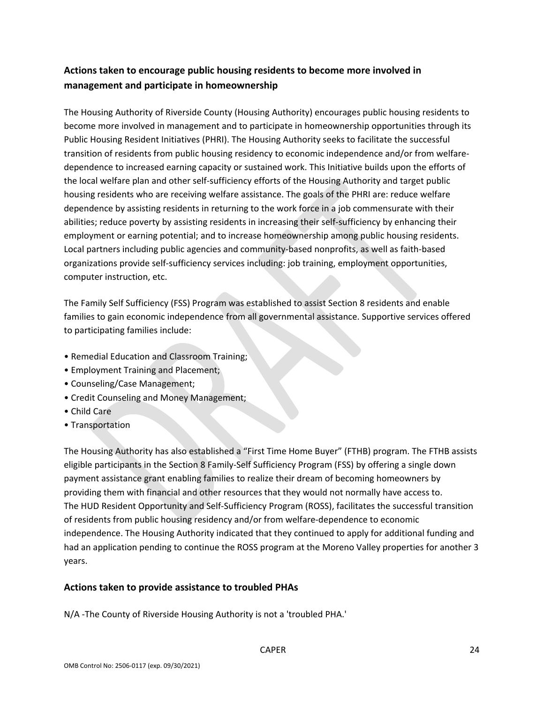### **Actions taken to encourage public housing residents to become more involved in management and participate in homeownership**

The Housing Authority of Riverside County (Housing Authority) encourages public housing residents to become more involved in management and to participate in homeownership opportunities through its Public Housing Resident Initiatives (PHRI). The Housing Authority seeks to facilitate the successful transition of residents from public housing residency to economic independence and/or from welfare‐ dependence to increased earning capacity or sustained work. This Initiative builds upon the efforts of the local welfare plan and other self‐sufficiency efforts of the Housing Authority and target public housing residents who are receiving welfare assistance. The goals of the PHRI are: reduce welfare dependence by assisting residents in returning to the work force in a job commensurate with their abilities; reduce poverty by assisting residents in increasing their self‐sufficiency by enhancing their employment or earning potential; and to increase homeownership among public housing residents. Local partners including public agencies and community‐based nonprofits, as well as faith‐based organizations provide self‐sufficiency services including: job training, employment opportunities, computer instruction, etc.

The Family Self Sufficiency (FSS) Program was established to assist Section 8 residents and enable families to gain economic independence from all governmental assistance. Supportive services offered to participating families include:

- Remedial Education and Classroom Training;
- Employment Training and Placement;
- Counseling/Case Management;
- Credit Counseling and Money Management;
- Child Care
- Transportation

The Housing Authority has also established a "First Time Home Buyer" (FTHB) program. The FTHB assists eligible participants in the Section 8 Family‐Self Sufficiency Program (FSS) by offering a single down payment assistance grant enabling families to realize their dream of becoming homeowners by providing them with financial and other resources that they would not normally have access to. The HUD Resident Opportunity and Self‐Sufficiency Program (ROSS), facilitates the successful transition of residents from public housing residency and/or from welfare‐dependence to economic independence. The Housing Authority indicated that they continued to apply for additional funding and had an application pending to continue the ROSS program at the Moreno Valley properties for another 3 years.

### **Actions taken to provide assistance to troubled PHAs**

N/A ‐The County of Riverside Housing Authority is not a 'troubled PHA.'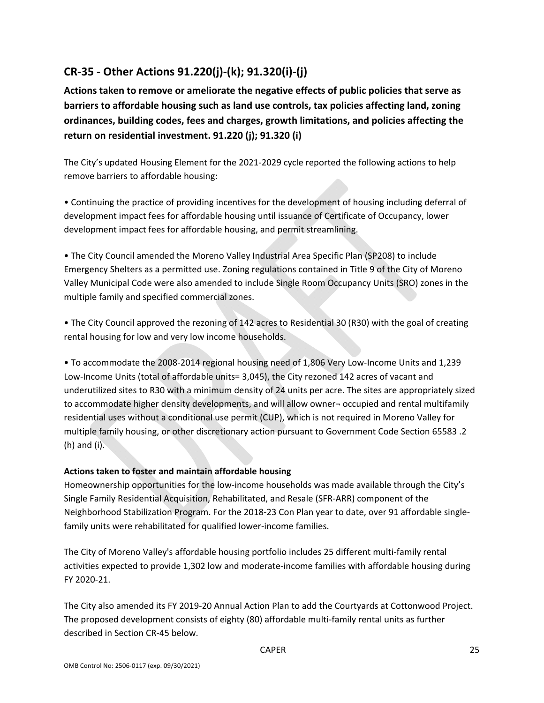# **CR‐35 ‐ Other Actions 91.220(j)‐(k); 91.320(i)‐(j)**

**Actions taken to remove or ameliorate the negative effects of public policies that serve as barriers to affordable housing such as land use controls, tax policies affecting land, zoning ordinances, building codes, fees and charges, growth limitations, and policies affecting the return on residential investment. 91.220 (j); 91.320 (i)**

The City's updated Housing Element for the 2021‐2029 cycle reported the following actions to help remove barriers to affordable housing:

• Continuing the practice of providing incentives for the development of housing including deferral of development impact fees for affordable housing until issuance of Certificate of Occupancy, lower development impact fees for affordable housing, and permit streamlining.

• The City Council amended the Moreno Valley Industrial Area Specific Plan (SP208) to include Emergency Shelters as a permitted use. Zoning regulations contained in Title 9 of the City of Moreno Valley Municipal Code were also amended to include Single Room Occupancy Units (SRO) zones in the multiple family and specified commercial zones.

• The City Council approved the rezoning of 142 acres to Residential 30 (R30) with the goal of creating rental housing for low and very low income households.

• To accommodate the 2008‐2014 regional housing need of 1,806 Very Low‐Income Units and 1,239 Low‐Income Units (total of affordable units= 3,045), the City rezoned 142 acres of vacant and underutilized sites to R30 with a minimum density of 24 units per acre. The sites are appropriately sized to accommodate higher density developments, and will allow owner- occupied and rental multifamily residential uses without a conditional use permit (CUP), which is not required in Moreno Valley for multiple family housing, or other discretionary action pursuant to Government Code Section 65583 .2 (h) and (i).

### **Actions taken to foster and maintain affordable housing**

Homeownership opportunities for the low-income households was made available through the City's Single Family Residential Acquisition, Rehabilitated, and Resale (SFR‐ARR) component of the Neighborhood Stabilization Program. For the 2018‐23 Con Plan year to date, over 91 affordable single‐ family units were rehabilitated for qualified lower-income families.

The City of Moreno Valley's affordable housing portfolio includes 25 different multi‐family rental activities expected to provide 1,302 low and moderate‐income families with affordable housing during FY 2020‐21.

The City also amended its FY 2019‐20 Annual Action Plan to add the Courtyards at Cottonwood Project. The proposed development consists of eighty (80) affordable multi‐family rental units as further described in Section CR‐45 below.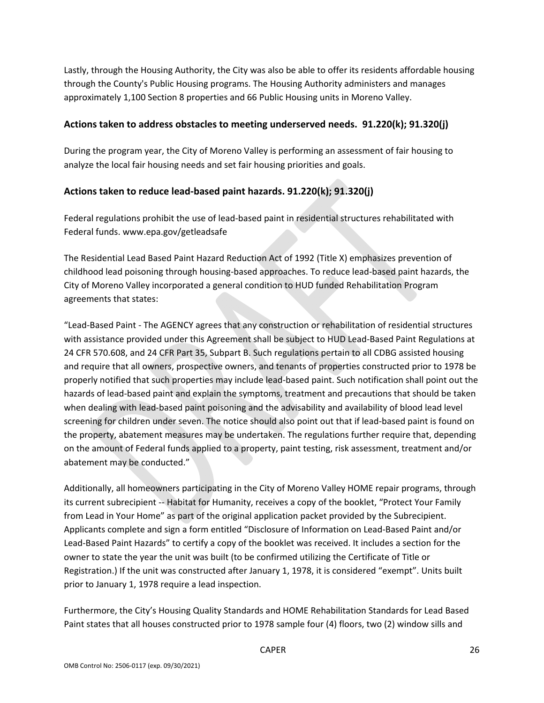Lastly, through the Housing Authority, the City was also be able to offer its residents affordable housing through the County's Public Housing programs. The Housing Authority administers and manages approximately 1,100 Section 8 properties and 66 Public Housing units in Moreno Valley.

### **Actions taken to address obstacles to meeting underserved needs. 91.220(k); 91.320(j)**

During the program year, the City of Moreno Valley is performing an assessment of fair housing to analyze the local fair housing needs and set fair housing priorities and goals.

### **Actions taken to reduce lead‐based paint hazards. 91.220(k); 91.320(j)**

Federal regulations prohibit the use of lead‐based paint in residential structures rehabilitated with Federal funds. www.epa.gov/getleadsafe

The Residential Lead Based Paint Hazard Reduction Act of 1992 (Title X) emphasizes prevention of childhood lead poisoning through housing‐based approaches. To reduce lead‐based paint hazards, the City of Moreno Valley incorporated a general condition to HUD funded Rehabilitation Program agreements that states:

"Lead‐Based Paint ‐ The AGENCY agrees that any construction or rehabilitation of residential structures with assistance provided under this Agreement shall be subject to HUD Lead‐Based Paint Regulations at 24 CFR 570.608, and 24 CFR Part 35, Subpart B. Such regulations pertain to all CDBG assisted housing and require that all owners, prospective owners, and tenants of properties constructed prior to 1978 be properly notified that such properties may include lead‐based paint. Such notification shall point out the hazards of lead‐based paint and explain the symptoms, treatment and precautions that should be taken when dealing with lead-based paint poisoning and the advisability and availability of blood lead level screening for children under seven. The notice should also point out that if lead-based paint is found on the property, abatement measures may be undertaken. The regulations further require that, depending on the amount of Federal funds applied to a property, paint testing, risk assessment, treatment and/or abatement may be conducted."

Additionally, all homeowners participating in the City of Moreno Valley HOME repair programs, through its current subrecipient ‐‐ Habitat for Humanity, receives a copy of the booklet, "Protect Your Family from Lead in Your Home" as part of the original application packet provided by the Subrecipient. Applicants complete and sign a form entitled "Disclosure of Information on Lead‐Based Paint and/or Lead‐Based Paint Hazards" to certify a copy of the booklet was received. It includes a section for the owner to state the year the unit was built (to be confirmed utilizing the Certificate of Title or Registration.) If the unit was constructed after January 1, 1978, it is considered "exempt". Units built prior to January 1, 1978 require a lead inspection.

Furthermore, the City's Housing Quality Standards and HOME Rehabilitation Standards for Lead Based Paint states that all houses constructed prior to 1978 sample four (4) floors, two (2) window sills and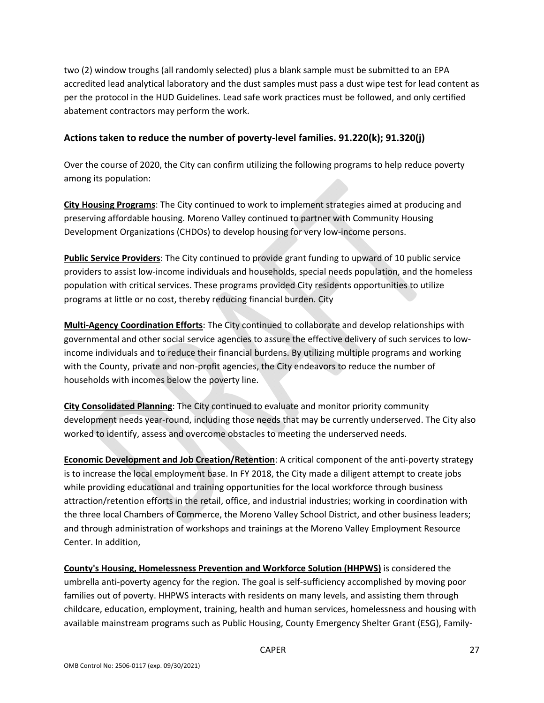two (2) window troughs (all randomly selected) plus a blank sample must be submitted to an EPA accredited lead analytical laboratory and the dust samples must pass a dust wipe test for lead content as per the protocol in the HUD Guidelines. Lead safe work practices must be followed, and only certified abatement contractors may perform the work.

### **Actions taken to reduce the number of poverty‐level families. 91.220(k); 91.320(j)**

Over the course of 2020, the City can confirm utilizing the following programs to help reduce poverty among its population:

**City Housing Programs**: The City continued to work to implement strategies aimed at producing and preserving affordable housing. Moreno Valley continued to partner with Community Housing Development Organizations (CHDOs) to develop housing for very low‐income persons.

**Public Service Providers**: The City continued to provide grant funding to upward of 10 public service providers to assist low‐income individuals and households, special needs population, and the homeless population with critical services. These programs provided City residents opportunities to utilize programs at little or no cost, thereby reducing financial burden. City

**Multi‐Agency Coordination Efforts**: The City continued to collaborate and develop relationships with governmental and other social service agencies to assure the effective delivery of such services to low‐ income individuals and to reduce their financial burdens. By utilizing multiple programs and working with the County, private and non‐profit agencies, the City endeavors to reduce the number of households with incomes below the poverty line.

**City Consolidated Planning**: The City continued to evaluate and monitor priority community development needs year‐round, including those needs that may be currently underserved. The City also worked to identify, assess and overcome obstacles to meeting the underserved needs.

**Economic Development and Job Creation/Retention**: A critical component of the anti‐poverty strategy is to increase the local employment base. In FY 2018, the City made a diligent attempt to create jobs while providing educational and training opportunities for the local workforce through business attraction/retention efforts in the retail, office, and industrial industries; working in coordination with the three local Chambers of Commerce, the Moreno Valley School District, and other business leaders; and through administration of workshops and trainings at the Moreno Valley Employment Resource Center. In addition,

**County's Housing, Homelessness Prevention and Workforce Solution (HHPWS)** is considered the umbrella anti‐poverty agency for the region. The goal is self‐sufficiency accomplished by moving poor families out of poverty. HHPWS interacts with residents on many levels, and assisting them through childcare, education, employment, training, health and human services, homelessness and housing with available mainstream programs such as Public Housing, County Emergency Shelter Grant (ESG), Family‐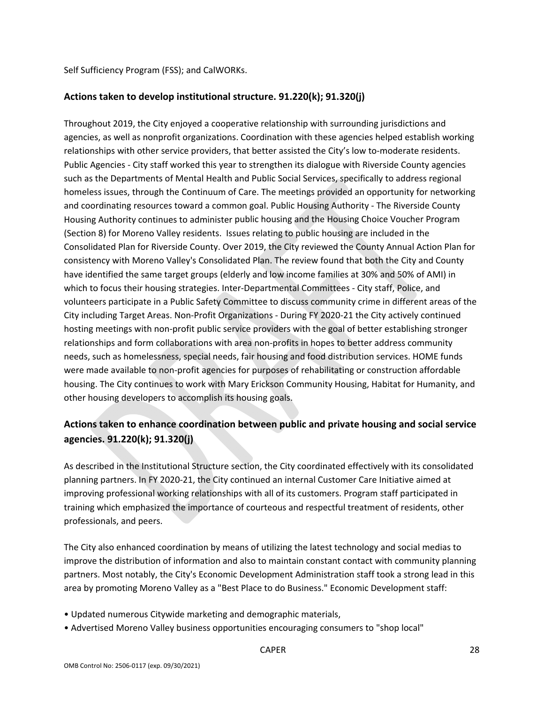Self Sufficiency Program (FSS); and CalWORKs.

#### **Actions taken to develop institutional structure. 91.220(k); 91.320(j)**

Throughout 2019, the City enjoyed a cooperative relationship with surrounding jurisdictions and agencies, as well as nonprofit organizations. Coordination with these agencies helped establish working relationships with other service providers, that better assisted the City's low to-moderate residents. Public Agencies ‐ City staff worked this year to strengthen its dialogue with Riverside County agencies such as the Departments of Mental Health and Public Social Services, specifically to address regional homeless issues, through the Continuum of Care. The meetings provided an opportunity for networking and coordinating resources toward a common goal. Public Housing Authority ‐ The Riverside County Housing Authority continues to administer public housing and the Housing Choice Voucher Program (Section 8) for Moreno Valley residents. Issues relating to public housing are included in the Consolidated Plan for Riverside County. Over 2019, the City reviewed the County Annual Action Plan for consistency with Moreno Valley's Consolidated Plan. The review found that both the City and County have identified the same target groups (elderly and low income families at 30% and 50% of AMI) in which to focus their housing strategies. Inter-Departmental Committees - City staff, Police, and volunteers participate in a Public Safety Committee to discuss community crime in different areas of the City including Target Areas. Non‐Profit Organizations ‐ During FY 2020‐21 the City actively continued hosting meetings with non-profit public service providers with the goal of better establishing stronger relationships and form collaborations with area non‐profits in hopes to better address community needs, such as homelessness, special needs, fair housing and food distribution services. HOME funds were made available to non-profit agencies for purposes of rehabilitating or construction affordable housing. The City continues to work with Mary Erickson Community Housing, Habitat for Humanity, and other housing developers to accomplish its housing goals.

### **Actions taken to enhance coordination between public and private housing and social service agencies. 91.220(k); 91.320(j)**

As described in the Institutional Structure section, the City coordinated effectively with its consolidated planning partners. In FY 2020‐21, the City continued an internal Customer Care Initiative aimed at improving professional working relationships with all of its customers. Program staff participated in training which emphasized the importance of courteous and respectful treatment of residents, other professionals, and peers.

The City also enhanced coordination by means of utilizing the latest technology and social medias to improve the distribution of information and also to maintain constant contact with community planning partners. Most notably, the City's Economic Development Administration staff took a strong lead in this area by promoting Moreno Valley as a "Best Place to do Business." Economic Development staff:

- Updated numerous Citywide marketing and demographic materials,
- Advertised Moreno Valley business opportunities encouraging consumers to "shop local"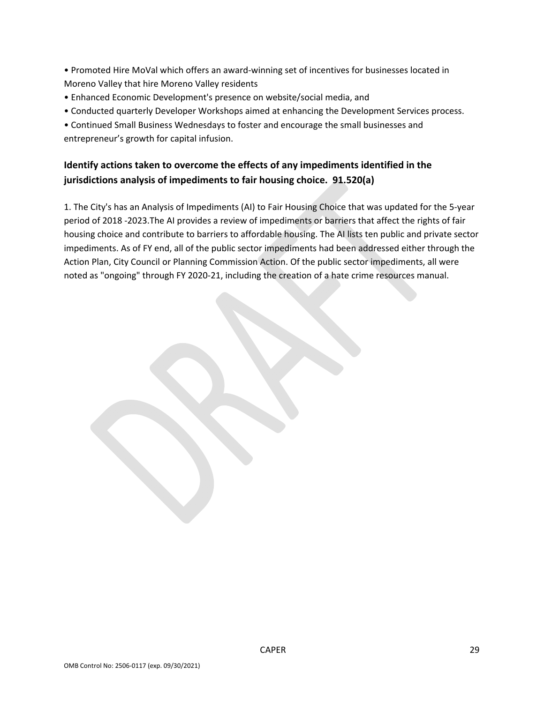• Promoted Hire MoVal which offers an award‐winning set of incentives for businesses located in Moreno Valley that hire Moreno Valley residents

- Enhanced Economic Development's presence on website/social media, and
- Conducted quarterly Developer Workshops aimed at enhancing the Development Services process.
- Continued Small Business Wednesdays to foster and encourage the small businesses and entrepreneur's growth for capital infusion.

### **Identify actions taken to overcome the effects of any impediments identified in the jurisdictions analysis of impediments to fair housing choice. 91.520(a)**

1. The City's has an Analysis of Impediments (AI) to Fair Housing Choice that was updated for the 5‐year period of 2018 ‐2023.The AI provides a review of impediments or barriers that affect the rights of fair housing choice and contribute to barriers to affordable housing. The AI lists ten public and private sector impediments. As of FY end, all of the public sector impediments had been addressed either through the Action Plan, City Council or Planning Commission Action. Of the public sector impediments, all were noted as "ongoing" through FY 2020‐21, including the creation of a hate crime resources manual.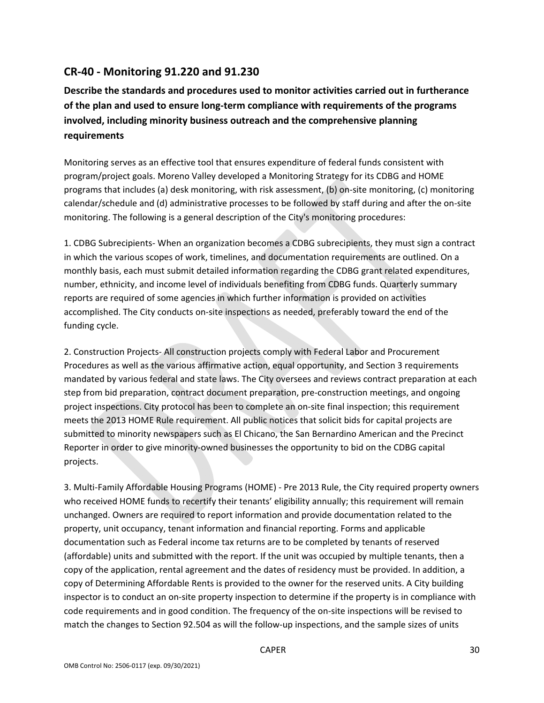### **CR‐40 ‐ Monitoring 91.220 and 91.230**

**Describe the standards and procedures used to monitor activities carried out in furtherance of the plan and used to ensure long‐term compliance with requirements of the programs involved, including minority business outreach and the comprehensive planning requirements**

Monitoring serves as an effective tool that ensures expenditure of federal funds consistent with program/project goals. Moreno Valley developed a Monitoring Strategy for its CDBG and HOME programs that includes (a) desk monitoring, with risk assessment, (b) on-site monitoring, (c) monitoring calendar/schedule and (d) administrative processes to be followed by staff during and after the on‐site monitoring. The following is a general description of the City's monitoring procedures:

1. CDBG Subrecipients‐ When an organization becomes a CDBG subrecipients, they must sign a contract in which the various scopes of work, timelines, and documentation requirements are outlined. On a monthly basis, each must submit detailed information regarding the CDBG grant related expenditures, number, ethnicity, and income level of individuals benefiting from CDBG funds. Quarterly summary reports are required of some agencies in which further information is provided on activities accomplished. The City conducts on‐site inspections as needed, preferably toward the end of the funding cycle.

2. Construction Projects‐ All construction projects comply with Federal Labor and Procurement Procedures as well as the various affirmative action, equal opportunity, and Section 3 requirements mandated by various federal and state laws. The City oversees and reviews contract preparation at each step from bid preparation, contract document preparation, pre‐construction meetings, and ongoing project inspections. City protocol has been to complete an on‐site final inspection; this requirement meets the 2013 HOME Rule requirement. All public notices that solicit bids for capital projects are submitted to minority newspapers such as El Chicano, the San Bernardino American and the Precinct Reporter in order to give minority‐owned businesses the opportunity to bid on the CDBG capital projects.

3. Multi‐Family Affordable Housing Programs (HOME) ‐ Pre 2013 Rule, the City required property owners who received HOME funds to recertify their tenants' eligibility annually; this requirement will remain unchanged. Owners are required to report information and provide documentation related to the property, unit occupancy, tenant information and financial reporting. Forms and applicable documentation such as Federal income tax returns are to be completed by tenants of reserved (affordable) units and submitted with the report. If the unit was occupied by multiple tenants, then a copy of the application, rental agreement and the dates of residency must be provided. In addition, a copy of Determining Affordable Rents is provided to the owner for the reserved units. A City building inspector is to conduct an on‐site property inspection to determine if the property is in compliance with code requirements and in good condition. The frequency of the on-site inspections will be revised to match the changes to Section 92.504 as will the follow-up inspections, and the sample sizes of units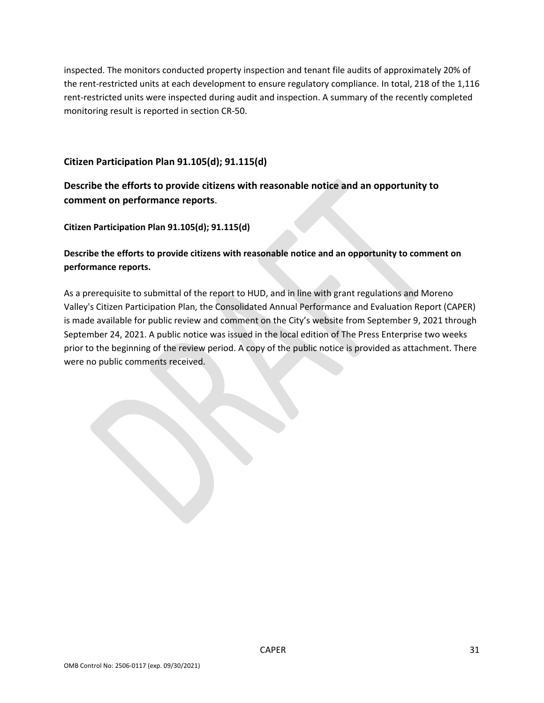inspected. The monitors conducted property inspection and tenant file audits of approximately 20% of the rent-restricted units at each development to ensure regulatory compliance. In total, 218 of the 1,116 rent-restricted units were inspected during audit and inspection. A summary of the recently completed monitoring result is reported in section CR‐50.

**Citizen Participation Plan 91.105(d); 91.115(d)**

### **Describe the efforts to provide citizens with reasonable notice and an opportunity to comment on performance reports**.

**Citizen Participation Plan 91.105(d); 91.115(d)**

**Describe the efforts to provide citizens with reasonable notice and an opportunity to comment on performance reports.**

As a prerequisite to submittal of the report to HUD, and in line with grant regulations and Moreno Valley's Citizen Participation Plan, the Consolidated Annual Performance and Evaluation Report (CAPER) is made available for public review and comment on the City's website from September 9, 2021 through September 24, 2021. A public notice was issued in the local edition of The Press Enterprise two weeks prior to the beginning of the review period. A copy of the public notice is provided as attachment. There were no public comments received.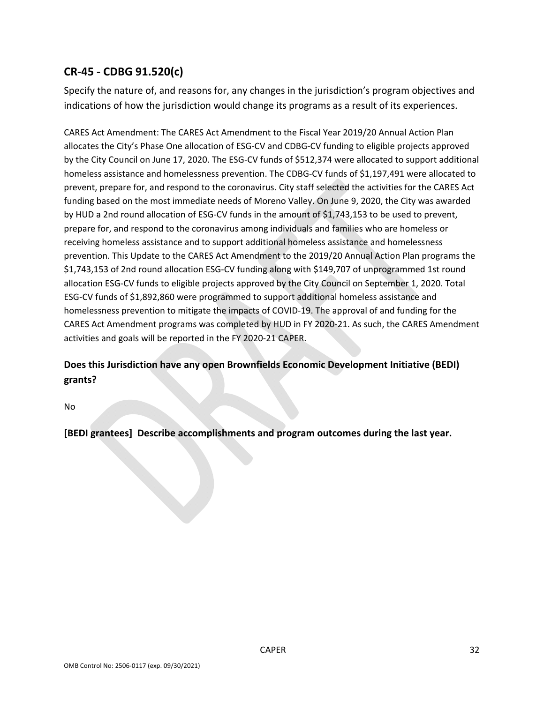# **CR‐45 ‐ CDBG 91.520(c)**

Specify the nature of, and reasons for, any changes in the jurisdiction's program objectives and indications of how the jurisdiction would change its programs as a result of its experiences.

CARES Act Amendment: The CARES Act Amendment to the Fiscal Year 2019/20 Annual Action Plan allocates the City's Phase One allocation of ESG‐CV and CDBG‐CV funding to eligible projects approved by the City Council on June 17, 2020. The ESG‐CV funds of \$512,374 were allocated to support additional homeless assistance and homelessness prevention. The CDBG-CV funds of \$1,197,491 were allocated to prevent, prepare for, and respond to the coronavirus. City staff selected the activities for the CARES Act funding based on the most immediate needs of Moreno Valley. On June 9, 2020, the City was awarded by HUD a 2nd round allocation of ESG‐CV funds in the amount of \$1,743,153 to be used to prevent, prepare for, and respond to the coronavirus among individuals and families who are homeless or receiving homeless assistance and to support additional homeless assistance and homelessness prevention. This Update to the CARES Act Amendment to the 2019/20 Annual Action Plan programs the \$1,743,153 of 2nd round allocation ESG‐CV funding along with \$149,707 of unprogrammed 1st round allocation ESG‐CV funds to eligible projects approved by the City Council on September 1, 2020. Total ESG‐CV funds of \$1,892,860 were programmed to support additional homeless assistance and homelessness prevention to mitigate the impacts of COVID‐19. The approval of and funding for the CARES Act Amendment programs was completed by HUD in FY 2020‐21. As such, the CARES Amendment activities and goals will be reported in the FY 2020‐21 CAPER.

### **Does this Jurisdiction have any open Brownfields Economic Development Initiative (BEDI) grants?**

No

**[BEDI grantees] Describe accomplishments and program outcomes during the last year.**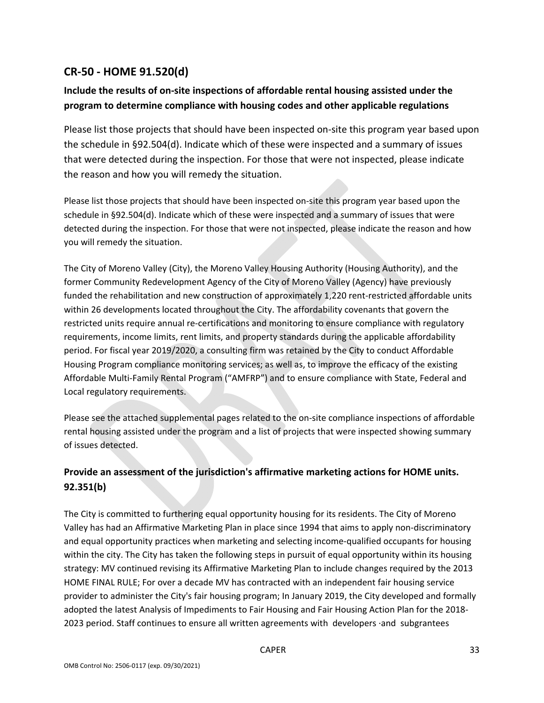### **CR‐50 ‐ HOME 91.520(d)**

### **Include the results of on‐site inspections of affordable rental housing assisted under the program to determine compliance with housing codes and other applicable regulations**

Please list those projects that should have been inspected on‐site this program year based upon the schedule in §92.504(d). Indicate which of these were inspected and a summary of issues that were detected during the inspection. For those that were not inspected, please indicate the reason and how you will remedy the situation.

Please list those projects that should have been inspected on‐site this program year based upon the schedule in §92.504(d). Indicate which of these were inspected and a summary of issues that were detected during the inspection. For those that were not inspected, please indicate the reason and how you will remedy the situation.

The City of Moreno Valley (City), the Moreno Valley Housing Authority (Housing Authority), and the former Community Redevelopment Agency of the City of Moreno Valley (Agency) have previously funded the rehabilitation and new construction of approximately 1,220 rent-restricted affordable units within 26 developments located throughout the City. The affordability covenants that govern the restricted units require annual re-certifications and monitoring to ensure compliance with regulatory requirements, income limits, rent limits, and property standards during the applicable affordability period. For fiscal year 2019/2020, a consulting firm was retained by the City to conduct Affordable Housing Program compliance monitoring services; as well as, to improve the efficacy of the existing Affordable Multi‐Family Rental Program ("AMFRP") and to ensure compliance with State, Federal and Local regulatory requirements.

Please see the attached supplemental pages related to the on‐site compliance inspections of affordable rental housing assisted under the program and a list of projects that were inspected showing summary of issues detected.

### **Provide an assessment of the jurisdiction's affirmative marketing actions for HOME units. 92.351(b)**

The City is committed to furthering equal opportunity housing for its residents. The City of Moreno Valley has had an Affirmative Marketing Plan in place since 1994 that aims to apply non‐discriminatory and equal opportunity practices when marketing and selecting income‐qualified occupants for housing within the city. The City has taken the following steps in pursuit of equal opportunity within its housing strategy: MV continued revising its Affirmative Marketing Plan to include changes required by the 2013 HOME FINAL RULE; For over a decade MV has contracted with an independent fair housing service provider to administer the City's fair housing program; In January 2019, the City developed and formally adopted the latest Analysis of Impediments to Fair Housing and Fair Housing Action Plan for the 2018‐ 2023 period. Staff continues to ensure all written agreements with developers ∙and subgrantees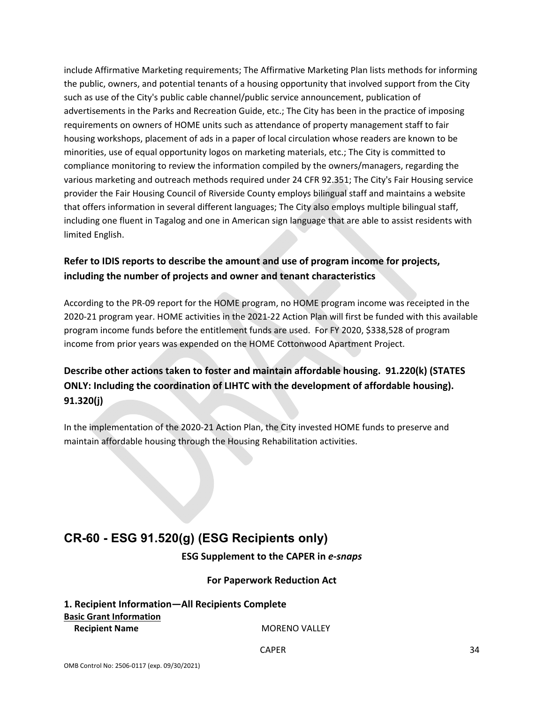include Affirmative Marketing requirements; The Affirmative Marketing Plan lists methods for informing the public, owners, and potential tenants of a housing opportunity that involved support from the City such as use of the City's public cable channel/public service announcement, publication of advertisements in the Parks and Recreation Guide, etc.; The City has been in the practice of imposing requirements on owners of HOME units such as attendance of property management staff to fair housing workshops, placement of ads in a paper of local circulation whose readers are known to be minorities, use of equal opportunity logos on marketing materials, etc.; The City is committed to compliance monitoring to review the information compiled by the owners/managers, regarding the various marketing and outreach methods required under 24 CFR 92.351; The City's Fair Housing service provider the Fair Housing Council of Riverside County employs bilingual staff and maintains a website that offers information in several different languages; The City also employs multiple bilingual staff, including one fluent in Tagalog and one in American sign language that are able to assist residents with limited English.

### **Refer to IDIS reports to describe the amount and use of program income for projects, including the number of projects and owner and tenant characteristics**

According to the PR‐09 report for the HOME program, no HOME program income was receipted in the 2020‐21 program year. HOME activities in the 2021‐22 Action Plan will first be funded with this available program income funds before the entitlement funds are used. For FY 2020, \$338,528 of program income from prior years was expended on the HOME Cottonwood Apartment Project.

# **Describe other actions taken to foster and maintain affordable housing. 91.220(k) (STATES ONLY: Including the coordination of LIHTC with the development of affordable housing). 91.320(j)**

In the implementation of the 2020‐21 Action Plan, the City invested HOME funds to preserve and maintain affordable housing through the Housing Rehabilitation activities.

# **CR-60 - ESG 91.520(g) (ESG Recipients only)**

**ESG Supplement to the CAPER in** *e‐snaps*

### **For Paperwork Reduction Act**

**1. Recipient Information—All Recipients Complete Basic Grant Information Recipient Name** MORENO VALLEY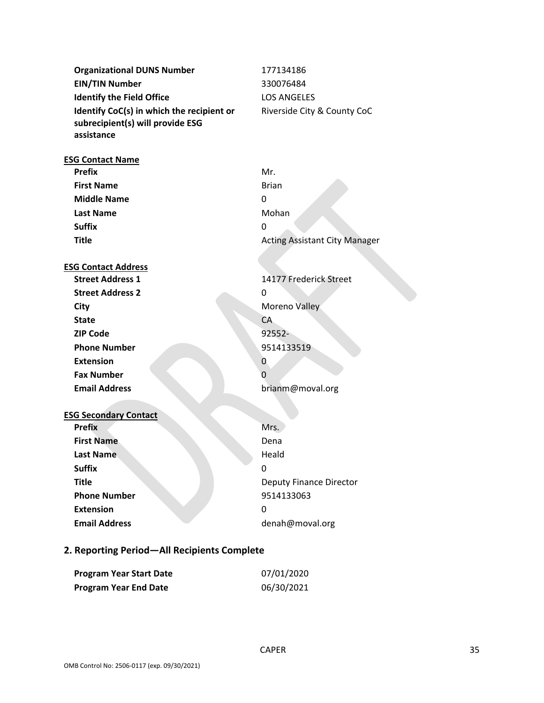| <b>Organizational DUNS Number</b>                                                           | 177134186                            |
|---------------------------------------------------------------------------------------------|--------------------------------------|
| <b>EIN/TIN Number</b>                                                                       | 330076484                            |
| <b>Identify the Field Office</b>                                                            | <b>LOS ANGELES</b>                   |
| Identify CoC(s) in which the recipient or<br>subrecipient(s) will provide ESG<br>assistance | Riverside City & County CoC          |
| <b>ESG Contact Name</b>                                                                     |                                      |
| <b>Prefix</b>                                                                               | Mr.                                  |
| <b>First Name</b>                                                                           | <b>Brian</b>                         |
| <b>Middle Name</b>                                                                          | 0                                    |
| <b>Last Name</b>                                                                            | Mohan                                |
| <b>Suffix</b>                                                                               | 0                                    |
| <b>Title</b>                                                                                | <b>Acting Assistant City Manager</b> |
|                                                                                             |                                      |
| <b>ESG Contact Address</b>                                                                  |                                      |
| <b>Street Address 1</b>                                                                     | 14177 Frederick Street               |
| <b>Street Address 2</b>                                                                     | 0                                    |
| City                                                                                        | Moreno Valley                        |
| <b>State</b>                                                                                | CA                                   |
| <b>ZIP Code</b>                                                                             | 92552-                               |
| <b>Phone Number</b>                                                                         | 9514133519                           |
| <b>Extension</b>                                                                            | 0                                    |
| <b>Fax Number</b>                                                                           | 0                                    |
| <b>Email Address</b>                                                                        | brianm@moval.org                     |
|                                                                                             |                                      |
| <b>ESG Secondary Contact</b>                                                                |                                      |
| <b>Prefix</b>                                                                               | Mrs.                                 |
| <b>First Name</b>                                                                           | Dena                                 |
| <b>Last Name</b>                                                                            | Heald                                |
| <b>Suffix</b>                                                                               | 0                                    |
| <b>Title</b>                                                                                | <b>Deputy Finance Director</b>       |
| <b>Phone Number</b>                                                                         | 9514133063                           |
| <b>Extension</b>                                                                            | 0                                    |
| <b>Email Address</b>                                                                        | denah@moval.org                      |
| الممنعم<br>A II.                                                                            |                                      |

#### **2. Reporting Period—All Recipients Complete**

| <b>Program Year Start Date</b> | 07/01/2020 |
|--------------------------------|------------|
| <b>Program Year End Date</b>   | 06/30/2021 |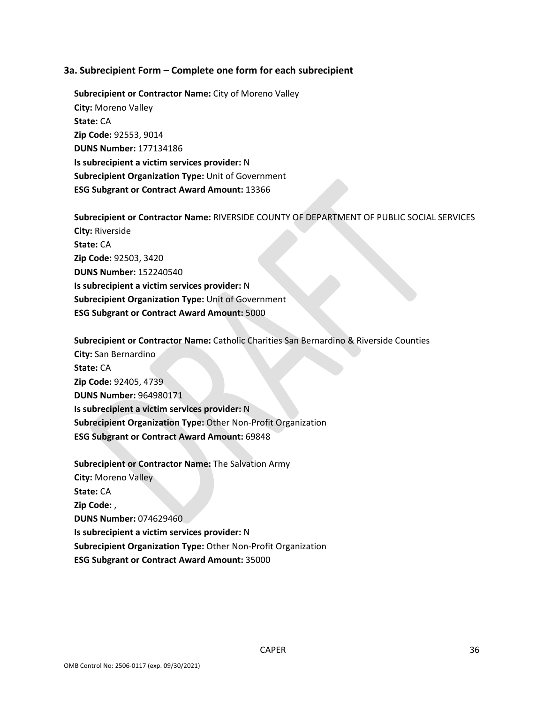#### **3a. Subrecipient Form – Complete one form for each subrecipient**

**Subrecipient or Contractor Name:** City of Moreno Valley **City:** Moreno Valley **State:** CA **Zip Code:** 92553, 9014 **DUNS Number:** 177134186 **Is subrecipient a victim services provider:** N **Subrecipient Organization Type:** Unit of Government **ESG Subgrant or Contract Award Amount:** 13366

**Subrecipient or Contractor Name:** RIVERSIDE COUNTY OF DEPARTMENT OF PUBLIC SOCIAL SERVICES **City:** Riverside **State:** CA **Zip Code:** 92503, 3420 **DUNS Number:** 152240540 **Is subrecipient a victim services provider:** N **Subrecipient Organization Type:** Unit of Government **ESG Subgrant or Contract Award Amount:** 5000

**Subrecipient or Contractor Name:** Catholic Charities San Bernardino & Riverside Counties **City:** San Bernardino **State:** CA **Zip Code:** 92405, 4739 **DUNS Number:** 964980171 **Is subrecipient a victim services provider:** N **Subrecipient Organization Type:** Other Non‐Profit Organization **ESG Subgrant or Contract Award Amount:** 69848

**Subrecipient or Contractor Name:** The Salvation Army

**City:** Moreno Valley

**State:** CA

**Zip Code:** ,

**DUNS Number:** 074629460

**Is subrecipient a victim services provider:** N

**Subrecipient Organization Type:** Other Non‐Profit Organization

**ESG Subgrant or Contract Award Amount:** 35000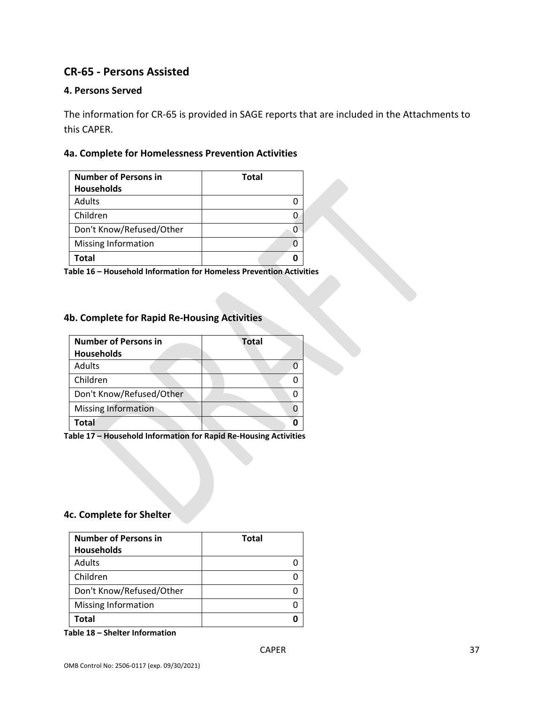### **CR‐65 ‐ Persons Assisted**

### **4. Persons Served**

The information for CR‐65 is provided in SAGE reports that are included in the Attachments to this CAPER.

### **4a. Complete for Homelessness Prevention Activities**

| <b>Number of Persons in</b> | <b>Total</b> |
|-----------------------------|--------------|
| <b>Households</b>           |              |
| Adults                      |              |
| Children                    |              |
| Don't Know/Refused/Other    |              |
| Missing Information         |              |
| Total                       |              |

**Table 16 – Household Information for Homeless Prevention Activities**

### **4b. Complete for Rapid Re‐Housing Activities**

| <b>Number of Persons in</b><br><b>Households</b> | <b>Total</b> |  |
|--------------------------------------------------|--------------|--|
| <b>Adults</b>                                    |              |  |
| Children                                         |              |  |
| Don't Know/Refused/Other                         |              |  |
| <b>Missing Information</b>                       |              |  |
| Total                                            |              |  |

**Table 17 – Household Information for Rapid Re‐Housing Activities**

### **4c. Complete for Shelter**

| <b>Number of Persons in</b> | <b>Total</b> |
|-----------------------------|--------------|
| <b>Households</b>           |              |
| Adults                      |              |
| Children                    |              |
| Don't Know/Refused/Other    |              |
| Missing Information         |              |
| Total                       |              |

**Table 18 – Shelter Information**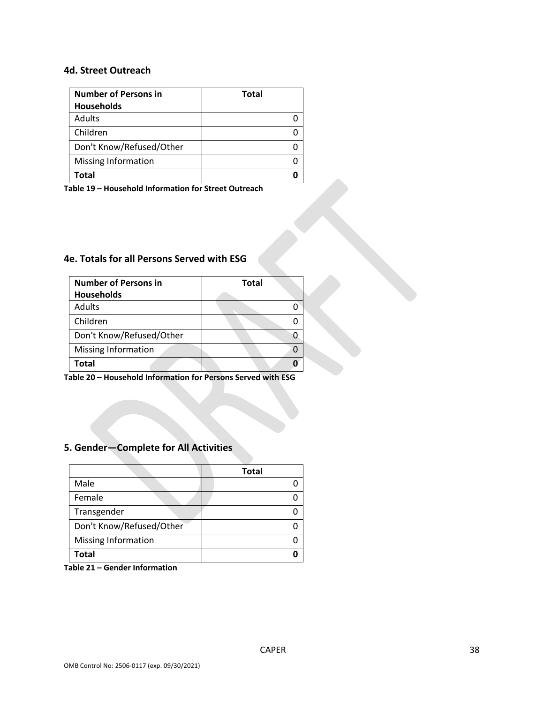#### **4d. Street Outreach**

| <b>Number of Persons in</b> | <b>Total</b> |
|-----------------------------|--------------|
| <b>Households</b>           |              |
| Adults                      |              |
| Children                    |              |
| Don't Know/Refused/Other    |              |
| <b>Missing Information</b>  |              |
| Total                       |              |

**Table 19 – Household Information for Street Outreach** 

### **4e. Totals for all Persons Served with ESG**

| <b>Number of Persons in</b> | <b>Total</b> |
|-----------------------------|--------------|
| <b>Households</b>           |              |
| <b>Adults</b>               |              |
| Children                    |              |
| Don't Know/Refused/Other    |              |
| Missing Information         |              |
| Total                       |              |

**Table 20 – Household Information for Persons Served with ESG**

### **5. Gender—Complete for All Activities**

|                            | <b>Total</b> |
|----------------------------|--------------|
| Male                       |              |
| Female                     |              |
| Transgender                |              |
| Don't Know/Refused/Other   |              |
| <b>Missing Information</b> |              |
| Total                      |              |

**Table 21 – Gender Information**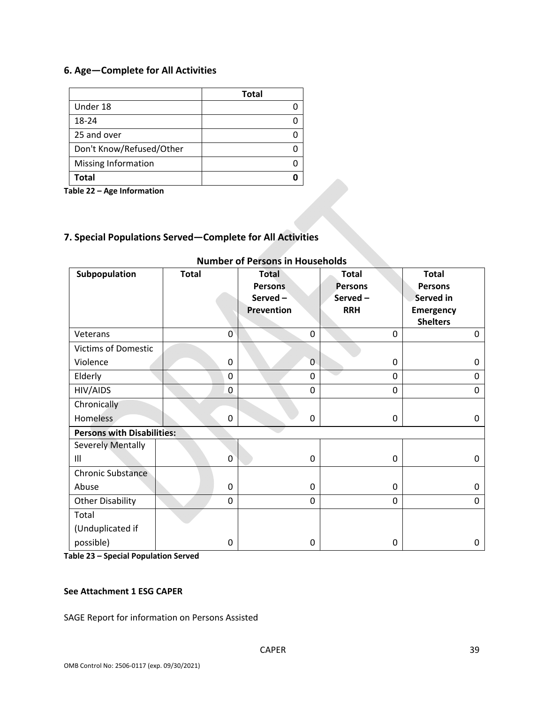### **6. Age—Complete for All Activities**

|                            | <b>Total</b> |
|----------------------------|--------------|
| Under 18                   |              |
| 18-24                      |              |
| 25 and over                |              |
| Don't Know/Refused/Other   |              |
| <b>Missing Information</b> |              |
| Total                      |              |

**Table 22 – Age Information**

### **7. Special Populations Served—Complete for All Activities**

| Subpopulation              | <b>Total</b>                      | <b>Total</b>   | <b>Total</b>   | <b>Total</b>     |  |  |
|----------------------------|-----------------------------------|----------------|----------------|------------------|--|--|
|                            |                                   | <b>Persons</b> | <b>Persons</b> | <b>Persons</b>   |  |  |
|                            |                                   | Served-        | Served-        | <b>Served in</b> |  |  |
|                            |                                   | Prevention     | <b>RRH</b>     | <b>Emergency</b> |  |  |
|                            |                                   |                |                | <b>Shelters</b>  |  |  |
| Veterans                   | $\overline{0}$                    | 0              | 0              | 0                |  |  |
| <b>Victims of Domestic</b> |                                   |                |                |                  |  |  |
| Violence                   | $\mathbf 0$                       | 0              | 0              | 0                |  |  |
| Elderly                    | 0                                 | 0              | 0              | 0                |  |  |
| HIV/AIDS                   | $\mathbf 0$                       | 0              | 0              | 0                |  |  |
| Chronically                |                                   |                |                |                  |  |  |
| <b>Homeless</b>            | 0                                 | 0              | 0              | 0                |  |  |
|                            | <b>Persons with Disabilities:</b> |                |                |                  |  |  |
| <b>Severely Mentally</b>   |                                   |                |                |                  |  |  |
| $\mathsf{III}$             | 0                                 | 0              | $\mathbf 0$    | 0                |  |  |
| <b>Chronic Substance</b>   |                                   |                |                |                  |  |  |
| Abuse                      | $\mathbf 0$                       | 0              | 0              | 0                |  |  |
| <b>Other Disability</b>    | $\mathbf 0$                       | 0              | $\mathbf 0$    | 0                |  |  |
| Total                      |                                   |                |                |                  |  |  |
| (Unduplicated if           |                                   |                |                |                  |  |  |
| possible)                  | $\mathbf 0$                       | 0              | $\mathbf 0$    | 0                |  |  |

### **Number of Persons in Households**

**Table 23 – Special Population Served**

#### **See Attachment 1 ESG CAPER**

SAGE Report for information on Persons Assisted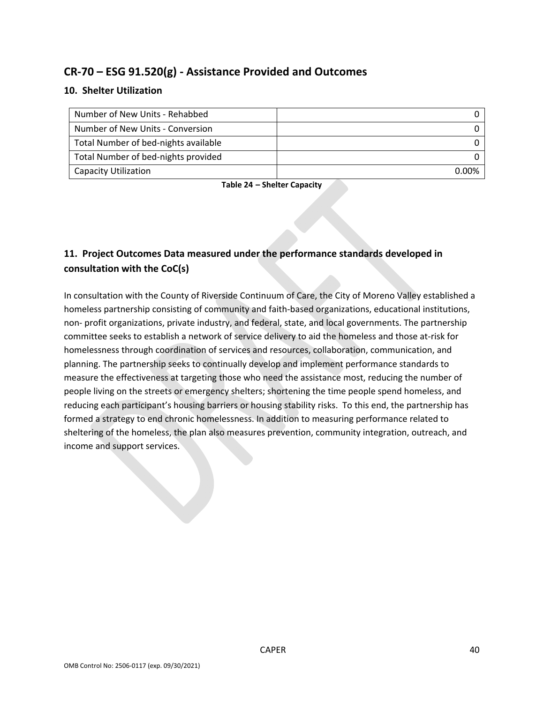### **CR‐70 – ESG 91.520(g) ‐ Assistance Provided and Outcomes**

### **10. Shelter Utilization**

| Number of New Units - Rehabbed       |       |
|--------------------------------------|-------|
| Number of New Units - Conversion     |       |
| Total Number of bed-nights available |       |
| Total Number of bed-nights provided  |       |
| <b>Capacity Utilization</b>          | በ በበ% |

**Table 24 – Shelter Capacity**

### **11. Project Outcomes Data measured under the performance standards developed in consultation with the CoC(s)**

In consultation with the County of Riverside Continuum of Care, the City of Moreno Valley established a homeless partnership consisting of community and faith-based organizations, educational institutions, non‐ profit organizations, private industry, and federal, state, and local governments. The partnership committee seeks to establish a network of service delivery to aid the homeless and those at‐risk for homelessness through coordination of services and resources, collaboration, communication, and planning. The partnership seeks to continually develop and implement performance standards to measure the effectiveness at targeting those who need the assistance most, reducing the number of people living on the streets or emergency shelters; shortening the time people spend homeless, and reducing each participant's housing barriers or housing stability risks. To this end, the partnership has formed a strategy to end chronic homelessness. In addition to measuring performance related to sheltering of the homeless, the plan also measures prevention, community integration, outreach, and income and support services.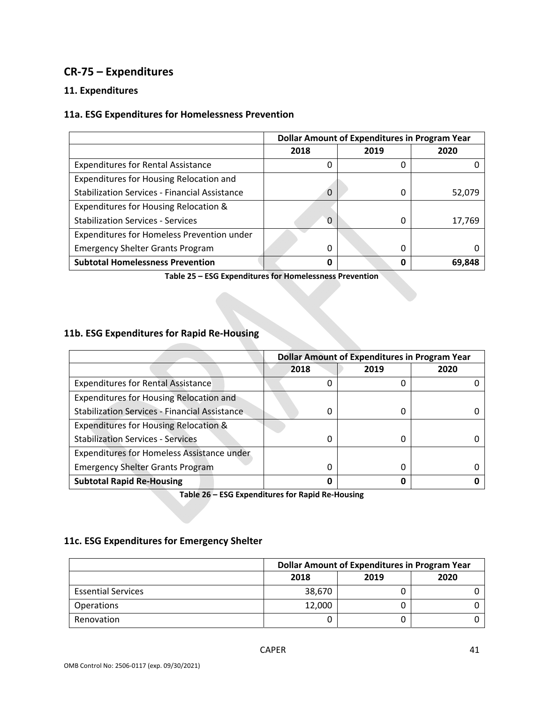### **CR‐75 – Expenditures**

### **11. Expenditures**

### **11a. ESG Expenditures for Homelessness Prevention**

|                                                      | <b>Dollar Amount of Expenditures in Program Year</b> |      |        |  |
|------------------------------------------------------|------------------------------------------------------|------|--------|--|
|                                                      | 2018                                                 | 2019 | 2020   |  |
| <b>Expenditures for Rental Assistance</b>            | <sup>0</sup>                                         | 0    |        |  |
| Expenditures for Housing Relocation and              |                                                      |      |        |  |
| <b>Stabilization Services - Financial Assistance</b> | $\Omega$                                             | 0    | 52,079 |  |
| Expenditures for Housing Relocation &                |                                                      |      |        |  |
| <b>Stabilization Services - Services</b>             | $\Omega$                                             | 0    | 17,769 |  |
| Expenditures for Homeless Prevention under           |                                                      |      |        |  |
| <b>Emergency Shelter Grants Program</b>              | $\Omega$                                             | 0    |        |  |
| <b>Subtotal Homelessness Prevention</b>              | 0                                                    | 0    | 69,848 |  |

**Table 25 – ESG Expenditures for Homelessness Prevention**

#### **11b. ESG Expenditures for Rapid Re‐Housing**

|                                                      | <b>Dollar Amount of Expenditures in Program Year</b> |      |      |
|------------------------------------------------------|------------------------------------------------------|------|------|
|                                                      | 2018                                                 | 2019 | 2020 |
| <b>Expenditures for Rental Assistance</b>            |                                                      | 0    |      |
| Expenditures for Housing Relocation and              |                                                      |      |      |
| <b>Stabilization Services - Financial Assistance</b> |                                                      | 0    |      |
| <b>Expenditures for Housing Relocation &amp;</b>     |                                                      |      |      |
| <b>Stabilization Services - Services</b>             | O                                                    | 0    |      |
| Expenditures for Homeless Assistance under           |                                                      |      |      |
| <b>Emergency Shelter Grants Program</b>              |                                                      | 0    |      |
| <b>Subtotal Rapid Re-Housing</b>                     |                                                      | 0    |      |

**Table 26 – ESG Expenditures for Rapid Re‐Housing**

### **11c. ESG Expenditures for Emergency Shelter**

|                           | <b>Dollar Amount of Expenditures in Program Year</b> |   |  |  |
|---------------------------|------------------------------------------------------|---|--|--|
|                           | 2020<br>2019<br>2018                                 |   |  |  |
| <b>Essential Services</b> | 38,670                                               |   |  |  |
| <b>Operations</b>         | 12,000                                               |   |  |  |
| Renovation                |                                                      | 0 |  |  |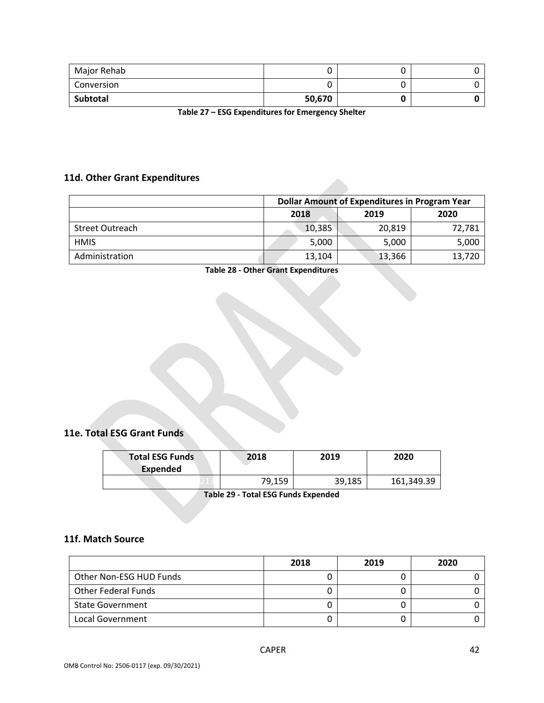| Major Rehab |        |  |
|-------------|--------|--|
| Conversion  |        |  |
| Subtotal    | 50,670 |  |

**Table 27 – ESG Expenditures for Emergency Shelter**

### **11d. Other Grant Expenditures**

|                        | <b>Dollar Amount of Expenditures in Program Year</b> |        |        |  |
|------------------------|------------------------------------------------------|--------|--------|--|
|                        | 2018                                                 | 2019   | 2020   |  |
| <b>Street Outreach</b> | 10,385                                               | 20,819 | 72,781 |  |
| <b>HMIS</b>            | 5,000                                                | 5,000  | 5,000  |  |
| Administration         | 13,104                                               | 13,366 | 13,720 |  |

#### **Table 28 ‐ Other Grant Expenditures**

### **11e. Total ESG Grant Funds**

| <b>Total ESG Funds</b><br>Expended | 2018   | 2019   | 2020       |
|------------------------------------|--------|--------|------------|
|                                    | 79.159 | 39,185 | 161,349.39 |

**Table 29 ‐ Total ESG Funds Expended**

### **11f. Match Source**

|                         | 2018 | 2019 | 2020 |
|-------------------------|------|------|------|
| Other Non-ESG HUD Funds |      |      |      |
| Other Federal Funds     |      |      |      |
| <b>State Government</b> |      |      |      |
| Local Government        |      |      |      |